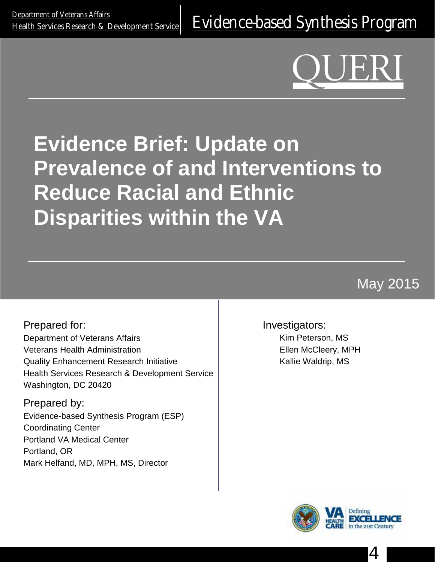# **Evidence Brief: Update on Prevalence of and Interventions to Reduce Racial and Ethnic Disparities within the VA**

May 2015

Prepared for: Department of Veterans Affairs Veterans Health Administration Quality Enhancement Research Initiative Health Services Research & Development Service Washington, DC 20420

Prepared by: Evidence-based Synthesis Program (ESP) Coordinating Center Portland VA Medical Center Portland, OR Mark Helfand, MD, MPH, MS, Director

Investigators:

Kim Peterson, MS Ellen McCleery, MPH Kallie Waldrip, MS



4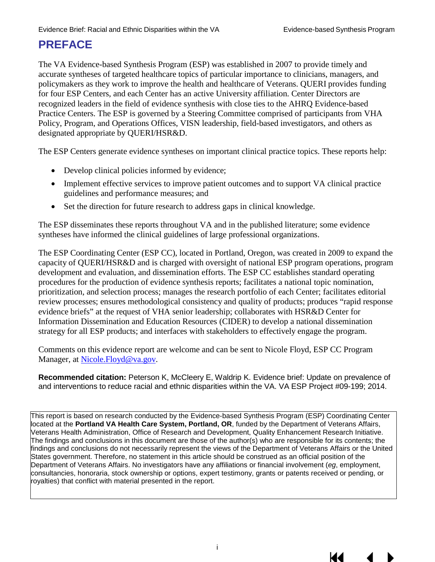# **PREFACE**

The VA Evidence-based Synthesis Program (ESP) was established in 2007 to provide timely and accurate syntheses of targeted healthcare topics of particular importance to clinicians, managers, and policymakers as they work to improve the health and healthcare of Veterans. QUERI provides funding for four ESP Centers, and each Center has an active University affiliation. Center Directors are recognized leaders in the field of evidence synthesis with close ties to the AHRQ Evidence-based Practice Centers. The ESP is governed by a Steering Committee comprised of participants from VHA Policy, Program, and Operations Offices, VISN leadership, field-based investigators, and others as designated appropriate by QUERI/HSR&D.

The ESP Centers generate evidence syntheses on important clinical practice topics. These reports help:

- Develop clinical policies informed by evidence;
- Implement effective services to improve patient outcomes and to support VA clinical practice guidelines and performance measures; and
- Set the direction for future research to address gaps in clinical knowledge.

The ESP disseminates these reports throughout VA and in the published literature; some evidence syntheses have informed the clinical guidelines of large professional organizations.

The ESP Coordinating Center (ESP CC), located in Portland, Oregon, was created in 2009 to expand the capacity of QUERI/HSR&D and is charged with oversight of national ESP program operations, program development and evaluation, and dissemination efforts. The ESP CC establishes standard operating procedures for the production of evidence synthesis reports; facilitates a national topic nomination, prioritization, and selection process; manages the research portfolio of each Center; facilitates editorial review processes; ensures methodological consistency and quality of products; produces "rapid response evidence briefs" at the request of VHA senior leadership; collaborates with HSR&D Center for Information Dissemination and Education Resources (CIDER) to develop a national dissemination strategy for all ESP products; and interfaces with stakeholders to effectively engage the program.

Comments on this evidence report are welcome and can be sent to Nicole Floyd, ESP CC Program Manager, at [Nicole.Floyd@va.gov.](mailto:Nicole.Floyd@va.gov)

**Recommended citation:** Peterson K, McCleery E, Waldrip K. Evidence brief: Update on prevalence of and interventions to reduce racial and ethnic disparities within the VA. VA ESP Project #09-199; 2014.

This report is based on research conducted by the Evidence-based Synthesis Program (ESP) Coordinating Center located at the **Portland VA Health Care System, Portland, OR**, funded by the Department of Veterans Affairs, Veterans Health Administration, Office of Research and Development, Quality Enhancement Research Initiative. The findings and conclusions in this document are those of the author(s) who are responsible for its contents; the findings and conclusions do not necessarily represent the views of the Department of Veterans Affairs or the United States government. Therefore, no statement in this article should be construed as an official position of the Department of Veterans Affairs. No investigators have any affiliations or financial involvement (*eg*, employment, consultancies, honoraria, stock ownership or options, expert testimony, grants or patents received or pending, or royalties) that conflict with material presented in the report.

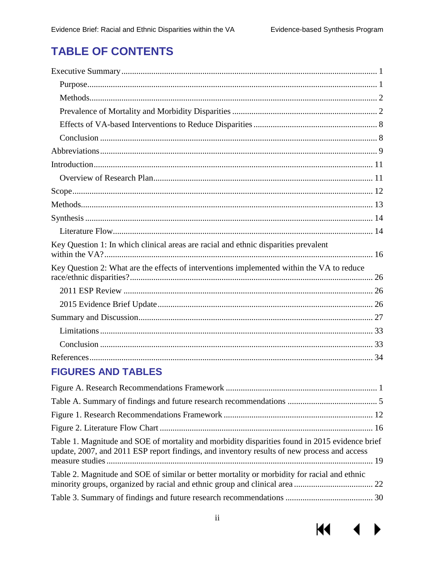# **TABLE OF CONTENTS**

| Key Question 1: In which clinical areas are racial and ethnic disparities prevalent                                                                                                           |
|-----------------------------------------------------------------------------------------------------------------------------------------------------------------------------------------------|
| Key Question 2: What are the effects of interventions implemented within the VA to reduce                                                                                                     |
|                                                                                                                                                                                               |
|                                                                                                                                                                                               |
|                                                                                                                                                                                               |
|                                                                                                                                                                                               |
|                                                                                                                                                                                               |
|                                                                                                                                                                                               |
| <b>FIGURES AND TABLES</b>                                                                                                                                                                     |
|                                                                                                                                                                                               |
|                                                                                                                                                                                               |
|                                                                                                                                                                                               |
|                                                                                                                                                                                               |
| Table 1. Magnitude and SOE of mortality and morbidity disparities found in 2015 evidence brief<br>update, 2007, and 2011 ESP report findings, and inventory results of new process and access |
| Table 2. Magnitude and SOE of similar or better mortality or morbidity for racial and ethnic                                                                                                  |





▶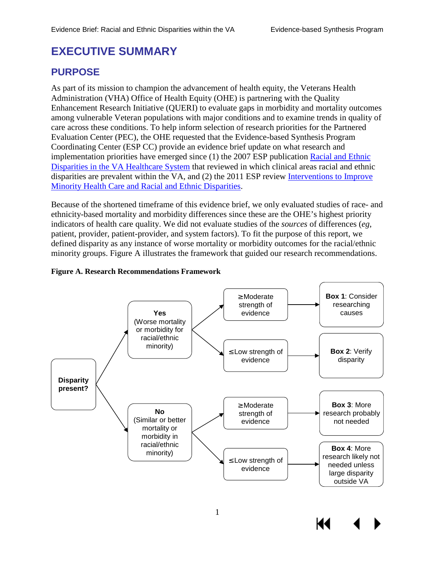# <span id="page-3-0"></span>**EXECUTIVE SUMMARY**

# <span id="page-3-1"></span>**PURPOSE**

As part of its mission to champion the advancement of health equity, the Veterans Health Administration (VHA) Office of Health Equity (OHE) is partnering with the Quality Enhancement Research Initiative (QUERI) to evaluate gaps in morbidity and mortality outcomes among vulnerable Veteran populations with major conditions and to examine trends in quality of care across these conditions. To help inform selection of research priorities for the Partnered Evaluation Center (PEC), the OHE requested that the Evidence-based Synthesis Program Coordinating Center (ESP CC) provide an evidence brief update on what research and implementation priorities have emerged since (1) the 2007 ESP publication [Racial and Ethnic](http://www.hsrd.research.va.gov/publications/esp/disparities.cfm)  [Disparities in the VA Healthcare System](http://www.hsrd.research.va.gov/publications/esp/disparities.cfm) that reviewed in which clinical areas racial and ethnic disparities are prevalent within the VA, and (2) the 2011 ESP review [Interventions to Improve](http://www.hsrd.research.va.gov/publications/esp/healthcare-disparities.cfm)  [Minority Health Care and Racial and Ethnic Disparities.](http://www.hsrd.research.va.gov/publications/esp/healthcare-disparities.cfm)

Because of the shortened timeframe of this evidence brief, we only evaluated studies of race- and ethnicity-based mortality and morbidity differences since these are the OHE's highest priority indicators of health care quality. We did not evaluate studies of the *sources* of differences (*eg*, patient, provider, patient-provider, and system factors). To fit the purpose of this report, we defined disparity as any instance of worse mortality or morbidity outcomes for the racial/ethnic minority groups. Figure A illustrates the framework that guided our research recommendations.



1

#### <span id="page-3-2"></span>**Figure A. Research Recommendations Framework**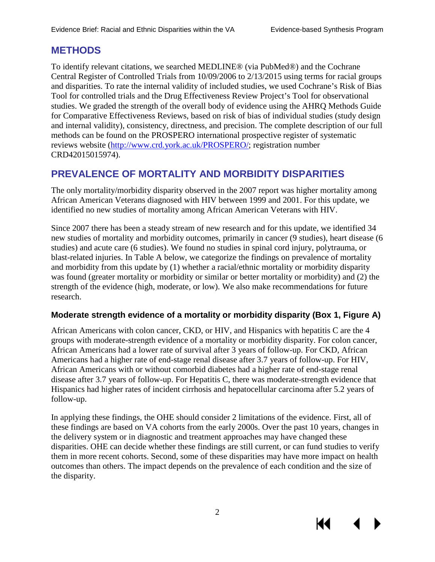К

# <span id="page-4-0"></span>**METHODS**

To identify relevant citations, we searched MEDLINE® (via PubMed®) and the Cochrane Central Register of Controlled Trials from 10/09/2006 to 2/13/2015 using terms for racial groups and disparities. To rate the internal validity of included studies, we used Cochrane's Risk of Bias Tool for controlled trials and the Drug Effectiveness Review Project's Tool for observational studies. We graded the strength of the overall body of evidence using the AHRQ Methods Guide for Comparative Effectiveness Reviews, based on risk of bias of individual studies (study design and internal validity), consistency, directness, and precision. The complete description of our full methods can be found on the PROSPERO international prospective register of systematic reviews website [\(http://www.crd.york.ac.uk/PROSPERO/;](http://www.crd.york.ac.uk/PROSPERO/) registration number CRD42015015974).

# <span id="page-4-1"></span>**PREVALENCE OF MORTALITY AND MORBIDITY DISPARITIES**

The only mortality/morbidity disparity observed in the 2007 report was higher mortality among African American Veterans diagnosed with HIV between 1999 and 2001. For this update, we identified no new studies of mortality among African American Veterans with HIV.

Since 2007 there has been a steady stream of new research and for this update, we identified 34 new studies of mortality and morbidity outcomes, primarily in cancer (9 studies), heart disease (6 studies) and acute care (6 studies). We found no studies in spinal cord injury, polytrauma, or blast-related injuries. In Table A below, we categorize the findings on prevalence of mortality and morbidity from this update by (1) whether a racial/ethnic mortality or morbidity disparity was found (greater mortality or morbidity or similar or better mortality or morbidity) and (2) the strength of the evidence (high, moderate, or low). We also make recommendations for future research.

### **Moderate strength evidence of a mortality or morbidity disparity (Box 1, Figure A)**

African Americans with colon cancer, CKD, or HIV, and Hispanics with hepatitis C are the 4 groups with moderate-strength evidence of a mortality or morbidity disparity. For colon cancer, African Americans had a lower rate of survival after 3 years of follow-up. For CKD, African Americans had a higher rate of end-stage renal disease after 3.7 years of follow-up. For HIV, African Americans with or without comorbid diabetes had a higher rate of end-stage renal disease after 3.7 years of follow-up. For Hepatitis C, there was moderate-strength evidence that Hispanics had higher rates of incident cirrhosis and hepatocellular carcinoma after 5.2 years of follow-up.

In applying these findings, the OHE should consider 2 limitations of the evidence. First, all of these findings are based on VA cohorts from the early 2000s. Over the past 10 years, changes in the delivery system or in diagnostic and treatment approaches may have changed these disparities. OHE can decide whether these findings are still current, or can fund studies to verify them in more recent cohorts. Second, some of these disparities may have more impact on health outcomes than others. The impact depends on the prevalence of each condition and the size of the disparity.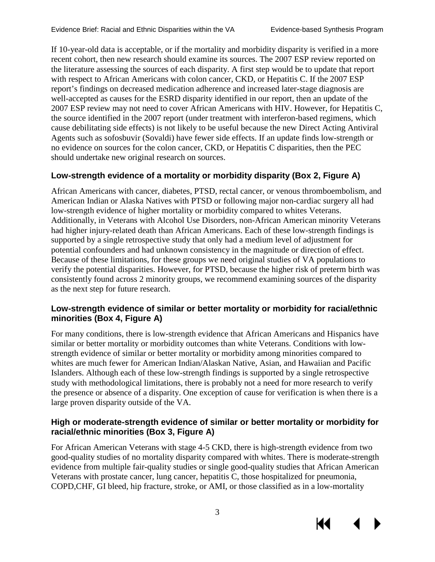If 10-year-old data is acceptable, or if the mortality and morbidity disparity is verified in a more recent cohort, then new research should examine its sources. The 2007 ESP review reported on the literature assessing the sources of each disparity. A first step would be to update that report with respect to African Americans with colon cancer, CKD, or Hepatitis C. If the 2007 ESP report's findings on decreased medication adherence and increased later-stage diagnosis are well-accepted as causes for the ESRD disparity identified in our report, then an update of the 2007 ESP review may not need to cover African Americans with HIV. However, for Hepatitis C, the source identified in the 2007 report (under treatment with interferon-based regimens, which cause debilitating side effects) is not likely to be useful because the new Direct Acting Antiviral Agents such as sofosbuvir (Sovaldi) have fewer side effects. If an update finds low-strength or no evidence on sources for the colon cancer, CKD, or Hepatitis C disparities, then the PEC should undertake new original research on sources.

## **Low-strength evidence of a mortality or morbidity disparity (Box 2, Figure A)**

African Americans with cancer, diabetes, PTSD, rectal cancer, or venous thromboembolism, and American Indian or Alaska Natives with PTSD or following major non-cardiac surgery all had low-strength evidence of higher mortality or morbidity compared to whites Veterans. Additionally, in Veterans with Alcohol Use Disorders, non-African American minority Veterans had higher injury-related death than African Americans. Each of these low-strength findings is supported by a single retrospective study that only had a medium level of adjustment for potential confounders and had unknown consistency in the magnitude or direction of effect. Because of these limitations, for these groups we need original studies of VA populations to verify the potential disparities. However, for PTSD, because the higher risk of preterm birth was consistently found across 2 minority groups, we recommend examining sources of the disparity as the next step for future research.

### **Low-strength evidence of similar or better mortality or morbidity for racial/ethnic minorities (Box 4, Figure A)**

For many conditions, there is low-strength evidence that African Americans and Hispanics have similar or better mortality or morbidity outcomes than white Veterans. Conditions with lowstrength evidence of similar or better mortality or morbidity among minorities compared to whites are much fewer for American Indian/Alaskan Native, Asian, and Hawaiian and Pacific Islanders. Although each of these low-strength findings is supported by a single retrospective study with methodological limitations, there is probably not a need for more research to verify the presence or absence of a disparity. One exception of cause for verification is when there is a large proven disparity outside of the VA.

### **High or moderate-strength evidence of similar or better mortality or morbidity for racial/ethnic minorities (Box 3, Figure A)**

For African American Veterans with stage 4-5 CKD, there is high-strength evidence from two good-quality studies of no mortality disparity compared with whites. There is moderate-strength evidence from multiple fair-quality studies or single good-quality studies that African American Veterans with prostate cancer, lung cancer, hepatitis C, those hospitalized for pneumonia, COPD,CHF, GI bleed, hip fracture, stroke, or AMI, or those classified as in a low-mortality



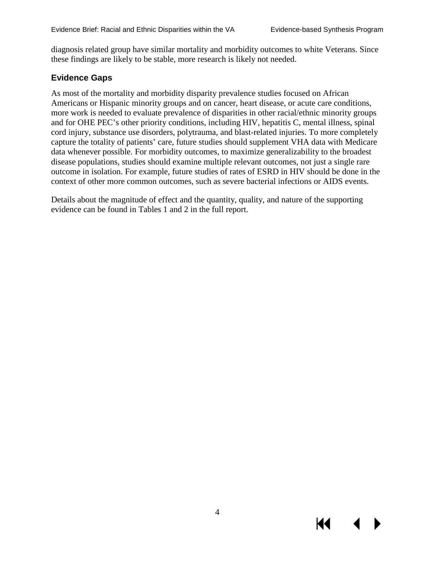К€

diagnosis related group have similar mortality and morbidity outcomes to white Veterans. Since these findings are likely to be stable, more research is likely not needed.

#### **Evidence Gaps**

As most of the mortality and morbidity disparity prevalence studies focused on African Americans or Hispanic minority groups and on cancer, heart disease, or acute care conditions, more work is needed to evaluate prevalence of disparities in other racial/ethnic minority groups and for OHE PEC's other priority conditions, including HIV, hepatitis C, mental illness, spinal cord injury, substance use disorders, polytrauma, and blast-related injuries. To more completely capture the totality of patients' care, future studies should supplement VHA data with Medicare data whenever possible. For morbidity outcomes, to maximize generalizability to the broadest disease populations, studies should examine multiple relevant outcomes, not just a single rare outcome in isolation. For example, future studies of rates of ESRD in HIV should be done in the context of other more common outcomes, such as severe bacterial infections or AIDS events.

Details about the magnitude of effect and the quantity, quality, and nature of the supporting evidence can be found in Tables 1 and 2 in the full report.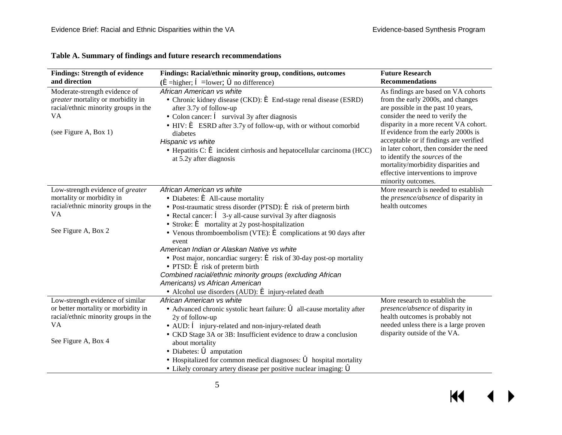<span id="page-7-0"></span>

| <b>Findings: Strength of evidence</b>                                                                                                            | Findings: Racial/ethnic minority group, conditions, outcomes                                                                                                                                                                                                                                                                                                                                                                                                                                                                                                                                                                                                                                                                                                                                           | <b>Future Research</b>                                                                                                                                                                                                                                                                                                                                                                                                                                      |
|--------------------------------------------------------------------------------------------------------------------------------------------------|--------------------------------------------------------------------------------------------------------------------------------------------------------------------------------------------------------------------------------------------------------------------------------------------------------------------------------------------------------------------------------------------------------------------------------------------------------------------------------------------------------------------------------------------------------------------------------------------------------------------------------------------------------------------------------------------------------------------------------------------------------------------------------------------------------|-------------------------------------------------------------------------------------------------------------------------------------------------------------------------------------------------------------------------------------------------------------------------------------------------------------------------------------------------------------------------------------------------------------------------------------------------------------|
| and direction                                                                                                                                    | $(\hat{\mathbf{e}})$ =higher; $\hat{\mathbf{e}}$ =lower; $\hat{\mathbf{o}}$ no difference)                                                                                                                                                                                                                                                                                                                                                                                                                                                                                                                                                                                                                                                                                                             | <b>Recommendations</b>                                                                                                                                                                                                                                                                                                                                                                                                                                      |
| Moderate-strength evidence of<br>greater mortality or morbidity in<br>racial/ethnic minority groups in the<br><b>VA</b><br>(see Figure A, Box 1) | African American vs white<br>• Chronic kidney disease (CKD): $\acute{\mathbf{e}}$ End-stage renal disease (ESRD)<br>after 3.7y of follow-up<br>• Colon cancer: $\hat{\mathbf{e}}$ survival 3y after diagnosis<br>$\cdot$ HIV: $\epsilon$ ESRD after 3.7y of follow-up, with or without comorbid<br>diabetes<br>Hispanic vs white<br>$\cdot$ Hepatitis C: $\acute{\mathbf{e}}$ incident cirrhosis and hepatocellular carcinoma (HCC)<br>at 5.2y after diagnosis                                                                                                                                                                                                                                                                                                                                         | As findings are based on VA cohorts<br>from the early 2000s, and changes<br>are possible in the past 10 years,<br>consider the need to verify the<br>disparity in a more recent VA cohort.<br>If evidence from the early 2000s is<br>acceptable or if findings are verified<br>in later cohort, then consider the need<br>to identify the sources of the<br>mortality/morbidity disparities and<br>effective interventions to improve<br>minority outcomes. |
| Low-strength evidence of greater<br>mortality or morbidity in<br>racial/ethnic minority groups in the<br>VA<br>See Figure A, Box 2               | African American vs white<br>• Diabetes: $\triangleq$ All-cause mortality<br>· Post-traumatic stress disorder (PTSD): $\blacklozenge$ risk of preterm birth<br>$\cdot$ Rectal cancer: $\hat{e}$ 3-y all-cause survival 3y after diagnosis<br>Stroke: $\acute{\mathbf{e}}$ mortality at 2y post-hospitalization<br>• Venous thromboembolism (VTE): $\acute{\mathbf{e}}$ complications at 90 days after<br>event<br>American Indian or Alaskan Native vs white<br>• Post major, noncardiac surgery: $\acute{\mathbf{\in}}$ risk of 30-day post-op mortality<br>$\cdot$ PTSD: $\acute{\mathbf{e}}$ risk of preterm birth<br>Combined racial/ethnic minority groups (excluding African<br>Americans) vs African American<br>$\cdot$ Alcohol use disorders (AUD): $\acute{\mathbf{e}}$ injury-related death | More research is needed to establish<br>the <i>presence/absence</i> of disparity in<br>health outcomes                                                                                                                                                                                                                                                                                                                                                      |
| Low-strength evidence of similar<br>or better mortality or morbidity in<br>racial/ethnic minority groups in the<br>VA<br>See Figure A, Box 4     | African American vs white<br>· Advanced chronic systolic heart failure: 6 all-cause mortality after<br>2y of follow-up<br>• AUD: $\hat{e}$ injury-related and non-injury-related death<br>• CKD Stage 3A or 3B: Insufficient evidence to draw a conclusion<br>about mortality<br>$\cdot$ Diabetes: $\bullet$ amputation<br>$\cdot$ Hospitalized for common medical diagnoses: $\bullet$ hospital mortality<br>$\cdot$ Likely coronary artery disease per positive nuclear imaging: $\delta$                                                                                                                                                                                                                                                                                                            | More research to establish the<br>presence/absence of disparity in<br>health outcomes is probably not<br>needed unless there is a large proven<br>disparity outside of the VA.                                                                                                                                                                                                                                                                              |

#### **Table A. Summary of findings and future research recommendations**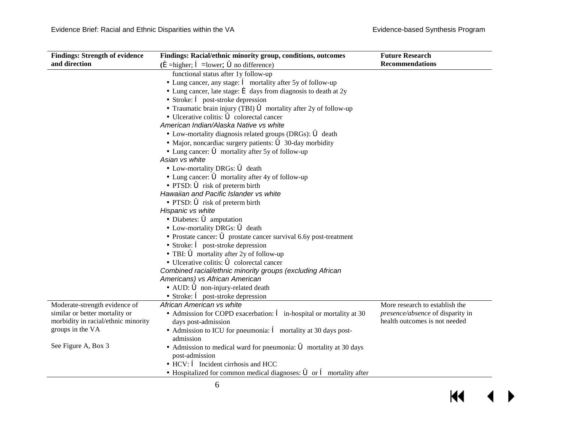$\blacksquare$ 

▶

| <b>Findings: Strength of evidence</b> | Findings: Racial/ethnic minority group, conditions, outcomes                                             | <b>Future Research</b>           |
|---------------------------------------|----------------------------------------------------------------------------------------------------------|----------------------------------|
| and direction                         | $(\hat{\mathbf{e}})$ =higher; $\hat{\mathbf{e}}$ =lower; $\hat{\mathbf{o}}$ no difference)               | <b>Recommendations</b>           |
|                                       | functional status after 1y follow-up                                                                     |                                  |
|                                       | $\cdot$ Lung cancer, any stage: $\hat{e}$ mortality after 5y of follow-up                                |                                  |
|                                       | $\cdot$ Lung cancer, late stage: $\triangleq$ days from diagnosis to death at 2y                         |                                  |
|                                       | $\cdot$ Stroke: $\hat{e}$ post-stroke depression                                                         |                                  |
|                                       | • Traumatic brain injury (TBI) <b>6</b> mortality after 2y of follow-up                                  |                                  |
|                                       | $\cdot$ Ulcerative colitis: $\bullet$ colorectal cancer                                                  |                                  |
|                                       | American Indian/Alaska Native vs white                                                                   |                                  |
|                                       | • Low-mortality diagnosis related groups (DRGs): $\bullet$ death                                         |                                  |
|                                       | • Major, noncardiac surgery patients: $\bullet$ 30-day morbidity                                         |                                  |
|                                       | • Lung cancer: $\vec{\bullet}$ mortality after 5y of follow-up                                           |                                  |
|                                       | Asian vs white                                                                                           |                                  |
|                                       | • Low-mortality DRGs: $\bullet$ death                                                                    |                                  |
|                                       | $\cdot$ Lung cancer: $\bullet$ mortality after 4y of follow-up                                           |                                  |
|                                       | $\cdot$ PTSD: $\bullet$ risk of preterm birth                                                            |                                  |
|                                       | Hawaiian and Pacific Islander vs white                                                                   |                                  |
|                                       | $\cdot$ PTSD: $\bullet$ risk of preterm birth                                                            |                                  |
|                                       | Hispanic vs white                                                                                        |                                  |
|                                       | $\cdot$ Diabetes: $\bullet$ amputation                                                                   |                                  |
|                                       | • Low-mortality DRGs: $\bullet$ death                                                                    |                                  |
|                                       | • Prostate cancer: $\acute{\bullet}$ prostate cancer survival 6.6y post-treatment                        |                                  |
|                                       | $\cdot$ Stroke: $\hat{\mathbf{e}}$ post-stroke depression                                                |                                  |
|                                       | $\cdot$ TBI: $\bullet$ mortality after 2y of follow-up                                                   |                                  |
|                                       | $\cdot$ Ulcerative colitis: $\bullet$ colorectal cancer                                                  |                                  |
|                                       | Combined racial/ethnic minority groups (excluding African                                                |                                  |
|                                       | Americans) vs African American                                                                           |                                  |
|                                       | $\cdot$ AUD: $\bullet$ non-injury-related death                                                          |                                  |
|                                       | $\cdot$ Stroke: $\hat{\mathbf{e}}$ post-stroke depression                                                |                                  |
| Moderate-strength evidence of         | African American vs white                                                                                | More research to establish the   |
| similar or better mortality or        | • Admission for COPD exacerbation: $\hat{e}$ in-hospital or mortality at 30                              | presence/absence of disparity in |
| morbidity in racial/ethnic minority   | days post-admission                                                                                      | health outcomes is not needed    |
| groups in the VA                      | • Admission to ICU for pneumonia: $\hat{e}$ mortality at 30 days post-<br>admission                      |                                  |
| See Figure A, Box 3                   | $\cdot$ Admission to medical ward for pneumonia: $\bullet$ mortality at 30 days<br>post-admission        |                                  |
|                                       | $\cdot$ HCV: $\hat{\mathbf{e}}$ Incident cirrhosis and HCC                                               |                                  |
|                                       | $\cdot$ Hospitalized for common medical diagnoses: $\vec{\bullet}$ or $\hat{\mathbf{e}}$ mortality after |                                  |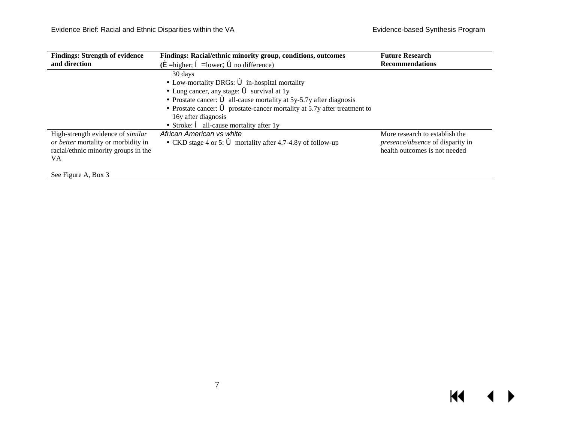$\overline{\mathbf{M}}$ 

 $\leftrightarrow$ 

| <b>Findings: Strength of evidence</b><br>and direction                                                                 | Findings: Racial/ethnic minority group, conditions, outcomes<br>$(\hat{\mathbf{e}})$ =higher; $\hat{\mathbf{e}}$ =lower; $\hat{\mathbf{o}}$ no difference)                                                                                                                                                                                                                                             |                                                                                                            |
|------------------------------------------------------------------------------------------------------------------------|--------------------------------------------------------------------------------------------------------------------------------------------------------------------------------------------------------------------------------------------------------------------------------------------------------------------------------------------------------------------------------------------------------|------------------------------------------------------------------------------------------------------------|
|                                                                                                                        | 30 days<br>• Low-mortality DRGs: $\vec{\bullet}$ in-hospital mortality<br>$\cdot$ Lung cancer, any stage: $\bullet$ survival at 1y<br>• Prostate cancer: $\vec{\bullet}$ all-cause mortality at 5y-5.7y after diagnosis<br>• Prostate cancer: $\acute{\mathbf{\circ}}$ prostate-cancer mortality at 5.7y after treatment to<br>16y after diagnosis<br>· Stroke: $\hat{e}$ all-cause mortality after 1y |                                                                                                            |
| High-strength evidence of similar<br>or better mortality or morbidity in<br>racial/ethnic minority groups in the<br>VA | African American vs white<br>• CKD stage 4 or 5: $\bullet$ mortality after 4.7-4.8y of follow-up                                                                                                                                                                                                                                                                                                       | More research to establish the<br><i>presence/absence</i> of disparity in<br>health outcomes is not needed |

See Figure A, Box 3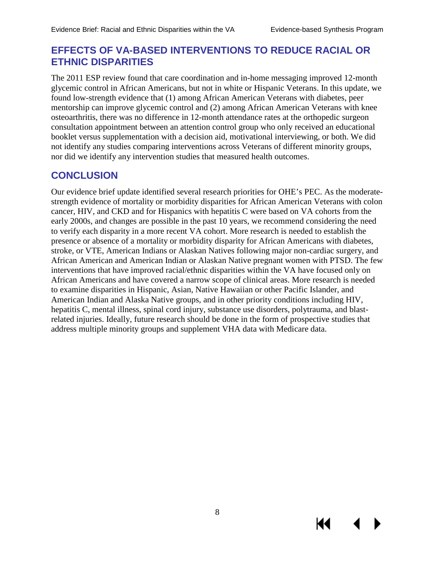Ю

# <span id="page-10-0"></span>**EFFECTS OF VA-BASED INTERVENTIONS TO REDUCE RACIAL OR ETHNIC DISPARITIES**

The 2011 ESP review found that care coordination and in-home messaging improved 12-month glycemic control in African Americans, but not in white or Hispanic Veterans. In this update, we found low-strength evidence that (1) among African American Veterans with diabetes, peer mentorship can improve glycemic control and (2) among African American Veterans with knee osteoarthritis, there was no difference in 12-month attendance rates at the orthopedic surgeon consultation appointment between an attention control group who only received an educational booklet versus supplementation with a decision aid, motivational interviewing, or both. We did not identify any studies comparing interventions across Veterans of different minority groups, nor did we identify any intervention studies that measured health outcomes.

# <span id="page-10-1"></span>**CONCLUSION**

Our evidence brief update identified several research priorities for OHE's PEC. As the moderatestrength evidence of mortality or morbidity disparities for African American Veterans with colon cancer, HIV, and CKD and for Hispanics with hepatitis C were based on VA cohorts from the early 2000s, and changes are possible in the past 10 years, we recommend considering the need to verify each disparity in a more recent VA cohort. More research is needed to establish the presence or absence of a mortality or morbidity disparity for African Americans with diabetes, stroke, or VTE, American Indians or Alaskan Natives following major non-cardiac surgery, and African American and American Indian or Alaskan Native pregnant women with PTSD. The few interventions that have improved racial/ethnic disparities within the VA have focused only on African Americans and have covered a narrow scope of clinical areas. More research is needed to examine disparities in Hispanic, Asian, Native Hawaiian or other Pacific Islander, and American Indian and Alaska Native groups, and in other priority conditions including HIV, hepatitis C, mental illness, spinal cord injury, substance use disorders, polytrauma, and blastrelated injuries. Ideally, future research should be done in the form of prospective studies that address multiple minority groups and supplement VHA data with Medicare data.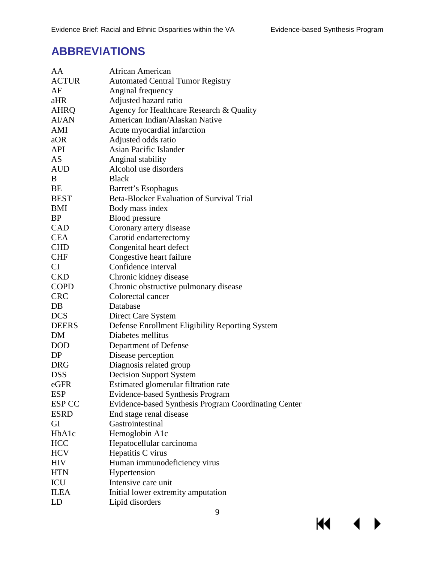# <span id="page-11-0"></span>**ABBREVIATIONS**

| AA            | African American                                     |
|---------------|------------------------------------------------------|
| <b>ACTUR</b>  | <b>Automated Central Tumor Registry</b>              |
| AF            | Anginal frequency                                    |
| aHR           | Adjusted hazard ratio                                |
| AHRQ          | Agency for Healthcare Research & Quality             |
| <b>AI/AN</b>  | American Indian/Alaskan Native                       |
| AMI           | Acute myocardial infarction                          |
| aOR           | Adjusted odds ratio                                  |
| API           | <b>Asian Pacific Islander</b>                        |
| AS            | Anginal stability                                    |
| <b>AUD</b>    | Alcohol use disorders                                |
| B             | <b>Black</b>                                         |
| BE            | Barrett's Esophagus                                  |
| <b>BEST</b>   | Beta-Blocker Evaluation of Survival Trial            |
| BMI           | Body mass index                                      |
| <b>BP</b>     | <b>Blood</b> pressure                                |
| <b>CAD</b>    | Coronary artery disease                              |
| <b>CEA</b>    | Carotid endarterectomy                               |
| <b>CHD</b>    | Congenital heart defect                              |
| <b>CHF</b>    | Congestive heart failure                             |
| CI            | Confidence interval                                  |
| <b>CKD</b>    | Chronic kidney disease                               |
| <b>COPD</b>   | Chronic obstructive pulmonary disease                |
| <b>CRC</b>    | Colorectal cancer                                    |
| DB            | Database                                             |
| <b>DCS</b>    | Direct Care System                                   |
| <b>DEERS</b>  | Defense Enrollment Eligibility Reporting System      |
| <b>DM</b>     | Diabetes mellitus                                    |
| <b>DOD</b>    | Department of Defense                                |
| DP            | Disease perception                                   |
| <b>DRG</b>    | Diagnosis related group                              |
| <b>DSS</b>    | <b>Decision Support System</b>                       |
| eGFR          | Estimated glomerular filtration rate                 |
| <b>ESP</b>    | Evidence-based Synthesis Program                     |
| <b>ESP CC</b> | Evidence-based Synthesis Program Coordinating Center |
| <b>ESRD</b>   | End stage renal disease                              |
| GI            | Gastrointestinal                                     |
| HbA1c         | Hemoglobin A1c                                       |
| <b>HCC</b>    | Hepatocellular carcinoma                             |
| <b>HCV</b>    | Hepatitis C virus                                    |
| HIV           | Human immunodeficiency virus                         |
| <b>HTN</b>    | Hypertension                                         |
| ICU           | Intensive care unit                                  |
| <b>ILEA</b>   | Initial lower extremity amputation                   |
| LD            | Lipid disorders                                      |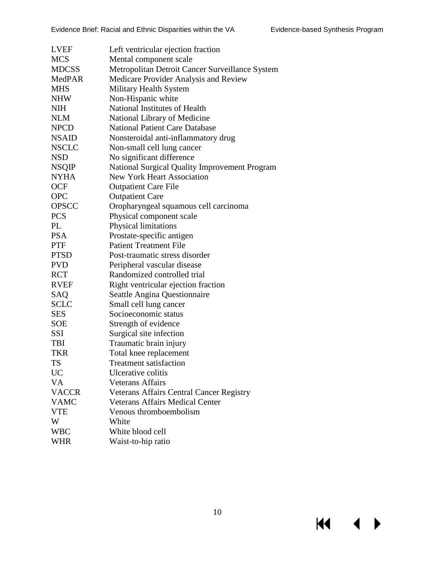| <b>LVEF</b>  | Left ventricular ejection fraction              |
|--------------|-------------------------------------------------|
| <b>MCS</b>   | Mental component scale                          |
| <b>MDCSS</b> | Metropolitan Detroit Cancer Surveillance System |
| MedPAR       | Medicare Provider Analysis and Review           |
| <b>MHS</b>   | Military Health System                          |
| <b>NHW</b>   | Non-Hispanic white                              |
| NIH          | National Institutes of Health                   |
| <b>NLM</b>   | National Library of Medicine                    |
| <b>NPCD</b>  | <b>National Patient Care Database</b>           |
| <b>NSAID</b> | Nonsteroidal anti-inflammatory drug             |
| <b>NSCLC</b> | Non-small cell lung cancer                      |
| <b>NSD</b>   | No significant difference                       |
| <b>NSQIP</b> | National Surgical Quality Improvement Program   |
| <b>NYHA</b>  | <b>New York Heart Association</b>               |
| <b>OCF</b>   | <b>Outpatient Care File</b>                     |
| <b>OPC</b>   | <b>Outpatient Care</b>                          |
| <b>OPSCC</b> | Oropharyngeal squamous cell carcinoma           |
| <b>PCS</b>   | Physical component scale                        |
| PL           | Physical limitations                            |
| <b>PSA</b>   | Prostate-specific antigen                       |
| <b>PTF</b>   | <b>Patient Treatment File</b>                   |
| <b>PTSD</b>  | Post-traumatic stress disorder                  |
| <b>PVD</b>   | Peripheral vascular disease                     |
| <b>RCT</b>   | Randomized controlled trial                     |
| <b>RVEF</b>  | Right ventricular ejection fraction             |
| SAQ          | Seattle Angina Questionnaire                    |
| SCLC         | Small cell lung cancer                          |
| <b>SES</b>   | Socioeconomic status                            |
| <b>SOE</b>   | Strength of evidence                            |
| SSI          | Surgical site infection                         |
| TBI          | Traumatic brain injury                          |
| TKR          | Total knee replacement                          |
| TS           | <b>Treatment satisfaction</b>                   |
| <b>UC</b>    | Ulcerative colitis                              |
| <b>VA</b>    | <b>Veterans Affairs</b>                         |
| <b>VACCR</b> | Veterans Affairs Central Cancer Registry        |
| <b>VAMC</b>  | <b>Veterans Affairs Medical Center</b>          |
| <b>VTE</b>   | Venous thromboembolism                          |
| W            | White                                           |
| <b>WBC</b>   | White blood cell                                |
| <b>WHR</b>   | Waist-to-hip ratio                              |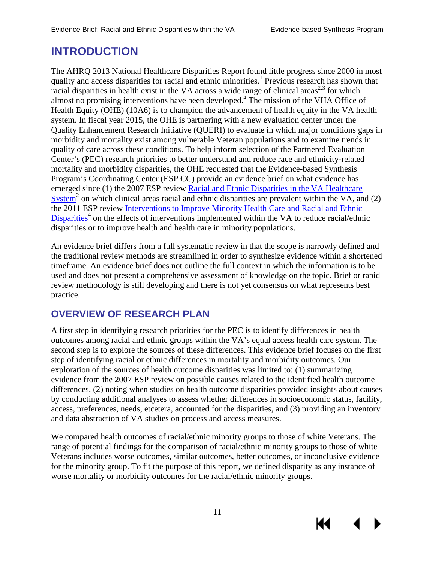К

# <span id="page-13-0"></span>**INTRODUCTION**

The AHRQ 2013 National Healthcare Disparities Report found little progress since 2000 in most quality and access disparities for racial and ethnic minorities.<sup>1</sup> Previous research has shown that racial disparities in health exist in the VA across a wide range of clinical areas<sup>[2,](#page-36-2)[3](#page-36-3)</sup> for which almost no promising interventions have been developed.<sup>4</sup> The mission of the VHA Office of Health Equity (OHE) (10A6) is to champion the advancement of health equity in the VA health system. In fiscal year 2015, the OHE is partnering with a new evaluation center under the Quality Enhancement Research Initiative (QUERI) to evaluate in which major conditions gaps in morbidity and mortality exist among vulnerable Veteran populations and to examine trends in quality of care across these conditions. To help inform selection of the Partnered Evaluation Center's (PEC) research priorities to better understand and reduce race and ethnicity-related mortality and morbidity disparities, the OHE requested that the Evidence-based Synthesis Program's Coordinating Center (ESP CC) provide an evidence brief on what evidence has emerged since (1) the 2007 ESP review [Racial and Ethnic Disparities in the VA Healthcare](http://www.hsrd.research.va.gov/publications/esp/disparities.cfm)   $System<sup>2</sup>$  $System<sup>2</sup>$  $System<sup>2</sup>$  $System<sup>2</sup>$  on which clinical areas racial and ethnic disparities are prevalent within the VA, and (2) the 2011 ESP review [Interventions to Improve Minority Health Care and Racial and Ethnic](http://www.hsrd.research.va.gov/publications/esp/healthcare-disparities.cfm)   $Disparities<sup>4</sup>$  $Disparities<sup>4</sup>$  $Disparities<sup>4</sup>$  $Disparities<sup>4</sup>$  on the effects of interventions implemented within the VA to reduce racial/ethnic disparities or to improve health and health care in minority populations.

An evidence brief differs from a full systematic review in that the scope is narrowly defined and the traditional review methods are streamlined in order to synthesize evidence within a shortened timeframe. An evidence brief does not outline the full context in which the information is to be used and does not present a comprehensive assessment of knowledge on the topic. Brief or rapid review methodology is still developing and there is not yet consensus on what represents best practice.

# <span id="page-13-1"></span>**OVERVIEW OF RESEARCH PLAN**

A first step in identifying research priorities for the PEC is to identify differences in health outcomes among racial and ethnic groups within the VA's equal access health care system. The second step is to explore the sources of these differences. This evidence brief focuses on the first step of identifying racial or ethnic differences in mortality and morbidity outcomes. Our exploration of the sources of health outcome disparities was limited to: (1) summarizing evidence from the 2007 ESP review on possible causes related to the identified health outcome differences, (2) noting when studies on health outcome disparities provided insights about causes by conducting additional analyses to assess whether differences in socioeconomic status, facility, access, preferences, needs, etcetera, accounted for the disparities, and (3) providing an inventory and data abstraction of VA studies on process and access measures.

We compared health outcomes of racial/ethnic minority groups to those of white Veterans. The range of potential findings for the comparison of racial/ethnic minority groups to those of white Veterans includes worse outcomes, similar outcomes, better outcomes, or inconclusive evidence for the minority group. To fit the purpose of this report, we defined disparity as any instance of worse mortality or morbidity outcomes for the racial/ethnic minority groups.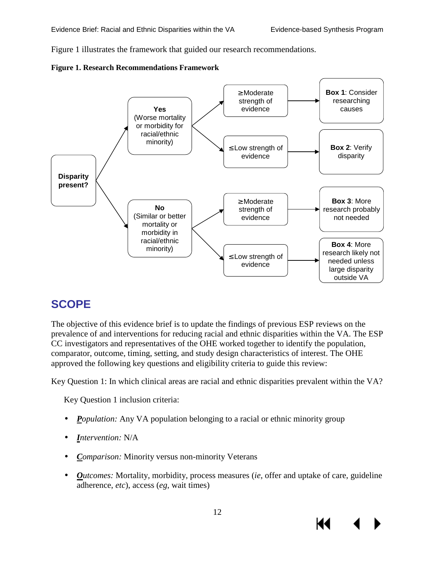Figure 1 illustrates the framework that guided our research recommendations.

<span id="page-14-1"></span>



# <span id="page-14-0"></span>**SCOPE**

The objective of this evidence brief is to update the findings of previous ESP reviews on the prevalence of and interventions for reducing racial and ethnic disparities within the VA. The ESP CC investigators and representatives of the OHE worked together to identify the population, comparator, outcome, timing, setting, and study design characteristics of interest. The OHE approved the following key questions and eligibility criteria to guide this review:

Key Question 1: In which clinical areas are racial and ethnic disparities prevalent within the VA?

Key Question 1 inclusion criteria:

- *Population:* Any VA population belonging to a racial or ethnic minority group
- *Intervention:* N/A
- *Comparison:* Minority versus non-minority Veterans
- *Outcomes:* Mortality, morbidity, process measures *(ie, offer and uptake of care, guideline*)  $\mathcal{L}^{\text{max}}$ adherence, *etc*), access (*eg*, wait times)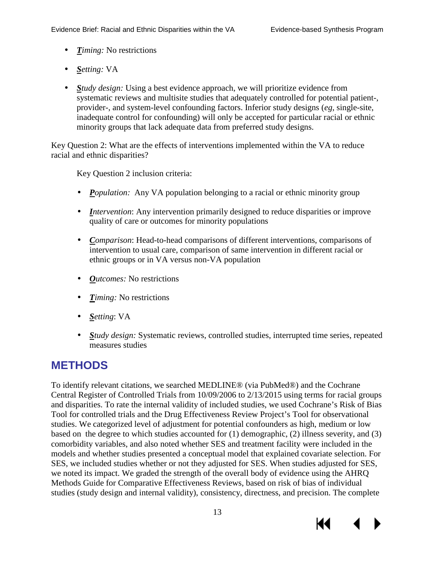- *Timing:* No restrictions  $\mathbb{Z}^{\mathbb{Z}}$
- *Setting:* VA
- *Study design:* Using a best evidence approach, we will prioritize evidence from systematic reviews and multisite studies that adequately controlled for potential patient-, provider-, and system-level confounding factors. Inferior study designs (*eg*, single-site, inadequate control for confounding) will only be accepted for particular racial or ethnic minority groups that lack adequate data from preferred study designs.

Key Question 2: What are the effects of interventions implemented within the VA to reduce racial and ethnic disparities?

Key Question 2 inclusion criteria:

- *Population:* Any VA population belonging to a racial or ethnic minority group
- *Intervention*: Any intervention primarily designed to reduce disparities or improve quality of care or outcomes for minority populations
- *Comparison*: Head-to-head comparisons of different interventions, comparisons of intervention to usual care, comparison of same intervention in different racial or ethnic groups or in VA versus non-VA population
- *Outcomes:* No restrictions
- *Timing:* No restrictions
- *Setting*: VA
- *Study design:* Systematic reviews, controlled studies, interrupted time series, repeated  $\mathcal{L}^{\text{max}}$ measures studies

# <span id="page-15-0"></span>**METHODS**

To identify relevant citations, we searched MEDLINE® (via PubMed®) and the Cochrane Central Register of Controlled Trials from 10/09/2006 to 2/13/2015 using terms for racial groups and disparities. To rate the internal validity of included studies, we used Cochrane's Risk of Bias Tool for controlled trials and the Drug Effectiveness Review Project's Tool for observational studies. We categorized level of adjustment for potential confounders as high, medium or low based on the degree to which studies accounted for (1) demographic, (2) illness severity, and (3) comorbidity variables, and also noted whether SES and treatment facility were included in the models and whether studies presented a conceptual model that explained covariate selection. For SES, we included studies whether or not they adjusted for SES. When studies adjusted for SES, we noted its impact. We graded the strength of the overall body of evidence using the AHRQ Methods Guide for Comparative Effectiveness Reviews, based on risk of bias of individual studies (study design and internal validity), consistency, directness, and precision. The complete

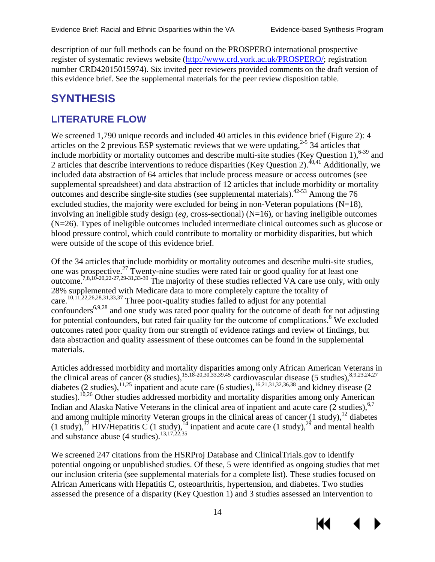description of our full methods can be found on the PROSPERO international prospective register of systematic reviews website [\(http://www.crd.york.ac.uk/PROSPERO/;](http://www.crd.york.ac.uk/PROSPERO/) registration number CRD42015015974). Six invited peer reviewers provided comments on the draft version of this evidence brief. See the supplemental materials for the peer review disposition table.

# <span id="page-16-0"></span>**SYNTHESIS**

# <span id="page-16-1"></span>**LITERATURE FLOW**

We screened 1,790 unique records and included 40 articles in this evidence brief (Figure 2): 4 articles on the 2 previous ESP systematic reviews that we were updating,  $2-5$  34 articles that include morbidity or mortality outcomes and describe multi-site studies (Key Question 1),<sup>[6-39](#page-36-5)</sup> and 2 articles that describe interventions to reduce disparities (Key Question 2).<sup>[40](#page-38-0)[,41](#page-38-1)</sup> Additionally, we included data abstraction of 64 articles that include process measure or access outcomes (see supplemental spreadsheet) and data abstraction of 12 articles that include morbidity or mortality outcomes and describe single-site studies (see supplemental materials). $42-53$  Among the 76 excluded studies, the majority were excluded for being in non-Veteran populations  $(N=18)$ , involving an ineligible study design (*eg*, cross-sectional) (N=16), or having ineligible outcomes (N=26). Types of ineligible outcomes included intermediate clinical outcomes such as glucose or blood pressure control, which could contribute to mortality or morbidity disparities, but which were outside of the scope of this evidence brief.

Of the 34 articles that include morbidity or mortality outcomes and describe multi-site studies, one was prospective.<sup>[27](#page-37-0)</sup> Twenty-nine studies were rated fair or good quality for at least one outcome.<sup>7,[8,](#page-36-7)[10-20](#page-36-8)[,22-27,](#page-37-1)[29-31,](#page-37-2)[33-39](#page-37-3)</sup> The majority of these studies reflected VA care use only, with only 28% supplemented with Medicare data to more completely capture the totality of care.<sup>[10,](#page-36-8)[11](#page-36-9)[,22](#page-37-1)[,26](#page-37-4)[,28](#page-37-5)[,31](#page-37-6)[,33](#page-37-3)[,37](#page-38-3)</sup> Three poor-quality studies failed to adjust for any potential confounders<sup>[6,](#page-36-5)[9,](#page-36-10)[28](#page-37-5)</sup> and one study was rated poor quality for the outcome of death for not adjusting for potential confounders, but rated fair quality for the outcome of complications.<sup>8</sup> We excluded outcomes rated poor quality from our strength of evidence ratings and review of findings, but data abstraction and quality assessment of these outcomes can be found in the supplemental materials.

Articles addressed morbidity and mortality disparities among only African American Veterans in the clinical areas of cancer (8 studies),  $15,18-20,30,33,39,45$  $15,18-20,30,33,39,45$  $15,18-20,30,33,39,45$  $15,18-20,30,33,39,45$  $15,18-20,30,33,39,45$  $15,18-20,30,33,39,45$  cardiovascular disease (5 studies),  $8,9,23,24,27$  $8,9,23,24,27$  $8,9,23,24,27$  $8,9,23,24,27$  $8,9,23,24,27$ diabetes (2 studies),  $^{11,25}$  $^{11,25}$  $^{11,25}$  inpatient and acute care (6 studies),  $^{16,21,31,32,36,38}$  $^{16,21,31,32,36,38}$  $^{16,21,31,32,36,38}$  $^{16,21,31,32,36,38}$  $^{16,21,31,32,36,38}$  $^{16,21,31,32,36,38}$  $^{16,21,31,32,36,38}$  $^{16,21,31,32,36,38}$  and kidney disease (2 studies).<sup>10,[26](#page-37-4)</sup> Other studies addressed morbidity and mortality disparities among only American Indian and Alaska Native Veterans in the clinical area of inpatient and acute care (2 studies), [6](#page-36-5)[,7](#page-36-6) and among multiple minority Veteran groups in the clinical areas of cancer  $(1 \text{ study})$ ,<sup>[12](#page-36-13)</sup> diabetes (1 study),<sup>37</sup> HIV/Hepatitis C (1 study),<sup>14</sup> inpatient and acute care (1 study),<sup>[29](#page-37-2)</sup> and mental health and substance abuse  $(4 \text{ studies})$ .<sup>13,[17,](#page-37-14)[22,](#page-37-1)[35](#page-38-8)</sup>

We screened 247 citations from the HSRProj Database and ClinicalTrials.gov to identify potential ongoing or unpublished studies. Of these, 5 were identified as ongoing studies that met our inclusion criteria (see supplemental materials for a complete list). These studies focused on African Americans with Hepatitis C, osteoarthritis, hypertension, and diabetes. Two studies assessed the presence of a disparity (Key Question 1) and 3 studies assessed an intervention to



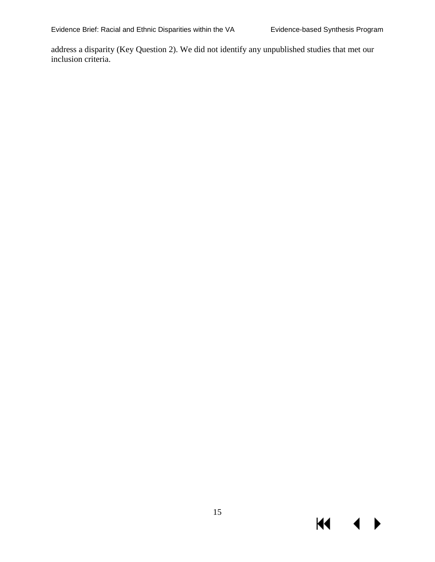address a disparity (Key Question 2). We did not identify any unpublished studies that met our inclusion criteria.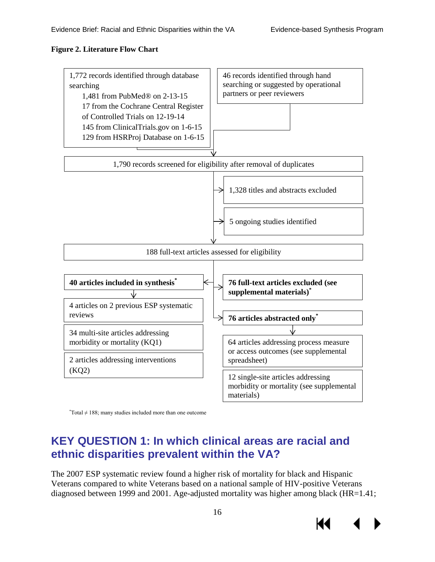#### <span id="page-18-1"></span>**Figure 2. Literature Flow Chart**



\* Total ≠ 188; many studies included more than one outcome

# <span id="page-18-0"></span>**KEY QUESTION 1: In which clinical areas are racial and ethnic disparities prevalent within the VA?**

The 2007 ESP systematic review found a higher risk of mortality for black and Hispanic Veterans compared to white Veterans based on a national sample of HIV-positive Veterans diagnosed between 1999 and 2001. Age-adjusted mortality was higher among black (HR=1.41;



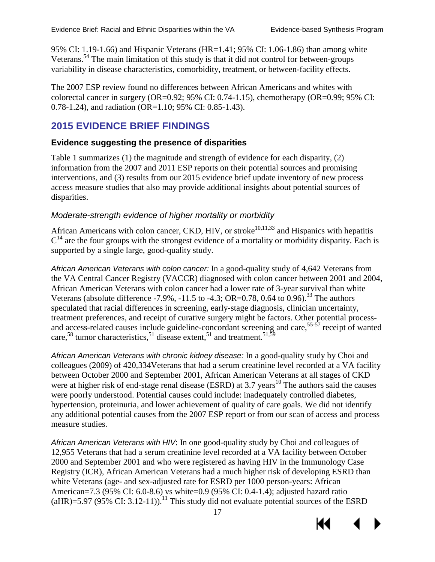95% CI: 1.19-1.66) and Hispanic Veterans (HR=1.41; 95% CI: 1.06-1.86) than among white Veterans.<sup>[54](#page-39-0)</sup> The main limitation of this study is that it did not control for between-groups variability in disease characteristics, comorbidity, treatment, or between-facility effects.

The 2007 ESP review found no differences between African Americans and whites with colorectal cancer in surgery (OR=0.92; 95% CI: 0.74-1.15), chemotherapy (OR=0.99; 95% CI: 0.78-1.24), and radiation (OR=1.10; 95% CI: 0.85-1.43).

# **2015 EVIDENCE BRIEF FINDINGS**

#### **Evidence suggesting the presence of disparities**

Table 1 summarizes (1) the magnitude and strength of evidence for each disparity, (2) information from the 2007 and 2011 ESP reports on their potential sources and promising interventions, and (3) results from our 2015 evidence brief update inventory of new process access measure studies that also may provide additional insights about potential sources of disparities.

#### *Moderate-strength evidence of higher mortality or morbidity*

African Americans with colon cancer, CKD, HIV, or stroke<sup>10,[11,](#page-36-9)33</sup> and Hispanics with hepatitis  $C^{14}$  $C^{14}$  $C^{14}$  are the four groups with the strongest evidence of a mortality or morbidity disparity. Each is supported by a single large, good-quality study.

*African American Veterans with colon cancer:* In a good-quality study of 4,642 Veterans from the VA Central Cancer Registry (VACCR) diagnosed with colon cancer between 2001 and 2004, African American Veterans with colon cancer had a lower rate of 3-year survival than white Veterans (absolute difference -7.9%, -11.5 to -4.3; OR=0.78, 0.64 to 0.96).<sup>33</sup> The authors speculated that racial differences in screening, early-stage diagnosis, clinician uncertainty, treatment preferences, and receipt of curative surgery might be factors. Other potential processand access-related causes include guideline-concordant screening and care,  $55-57$  receipt of wanted care,<sup>[58](#page-39-2)</sup> tumor characteristics,<sup>[51](#page-38-9)</sup> disease extent,<sup>51</sup> and treatment.<sup>51[,59](#page-39-3)</sup>

*African American Veterans with chronic kidney disease:* In a good-quality study by Choi and colleagues (2009) of 420,334Veterans that had a serum creatinine level recorded at a VA facility between October 2000 and September 2001, African American Veterans at all stages of CKD were at higher risk of end-stage renal disease (ESRD) at  $3.7$  years<sup>10</sup> The authors said the causes were poorly understood. Potential causes could include: inadequately controlled diabetes, hypertension, proteinuria, and lower achievement of quality of care goals. We did not identify any additional potential causes from the 2007 ESP report or from our scan of access and process measure studies.

*African American Veterans with HIV*: In one good-quality study by Choi and colleagues of 12,955 Veterans that had a serum creatinine level recorded at a VA facility between October 2000 and September 2001 and who were registered as having HIV in the Immunology Case Registry (ICR), African American Veterans had a much higher risk of developing ESRD than white Veterans (age- and sex-adjusted rate for ESRD per 1000 person-years: African American=7.3 (95% CI: 6.0-8.6) vs white=0.9 (95% CI: 0.4-1.4); adjusted hazard ratio (aHR)=5.97 (95% CI: 3.12-11)).<sup>11</sup> This study did not evaluate potential sources of the ESRD



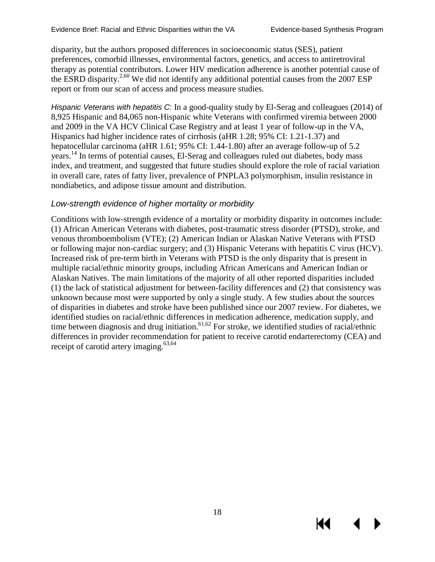КI

disparity, but the authors proposed differences in socioeconomic status (SES), patient preferences, comorbid illnesses, environmental factors, genetics, and access to antiretroviral therapy as potential contributors. Lower HIV medication adherence is another potential cause of the ESRD disparity.<sup>2,60</sup> We did not identify any additional potential causes from the 2007 ESP report or from our scan of access and process measure studies.

*Hispanic Veterans with hepatitis C*: In a good-quality study by El-Serag and colleagues (2014) of 8,925 Hispanic and 84,065 non-Hispanic white Veterans with confirmed viremia between 2000 and 2009 in the VA HCV Clinical Case Registry and at least 1 year of follow-up in the VA, Hispanics had higher incidence rates of cirrhosis (aHR 1.28; 95% CI: 1.21-1.37) and hepatocellular carcinoma (aHR 1.61; 95% CI: 1.44-1.80) after an average follow-up of 5.2 years. [14](#page-36-14) In terms of potential causes, El-Serag and colleagues ruled out diabetes, body mass index, and treatment, and suggested that future studies should explore the role of racial variation in overall care, rates of fatty liver, prevalence of PNPLA3 polymorphism, insulin resistance in nondiabetics, and adipose tissue amount and distribution.

#### *Low-strength evidence of higher mortality or morbidity*

Conditions with low-strength evidence of a mortality or morbidity disparity in outcomes include: (1) African American Veterans with diabetes, post-traumatic stress disorder (PTSD), stroke, and venous thromboembolism (VTE); (2) American Indian or Alaskan Native Veterans with PTSD or following major non-cardiac surgery; and (3) Hispanic Veterans with hepatitis C virus (HCV). Increased risk of pre-term birth in Veterans with PTSD is the only disparity that is present in multiple racial/ethnic minority groups, including African Americans and American Indian or Alaskan Natives. The main limitations of the majority of all other reported disparities included (1) the lack of statistical adjustment for between-facility differences and (2) that consistency was unknown because most were supported by only a single study. A few studies about the sources of disparities in diabetes and stroke have been published since our 2007 review. For diabetes, we identified studies on racial/ethnic differences in medication adherence, medication supply, and time between diagnosis and drug initiation.<sup>[61,](#page-39-5)62</sup> For stroke, we identified studies of racial/ethnic differences in provider recommendation for patient to receive carotid endarterectomy (CEA) and receipt of carotid artery imaging.[63,](#page-39-7)[64](#page-39-8)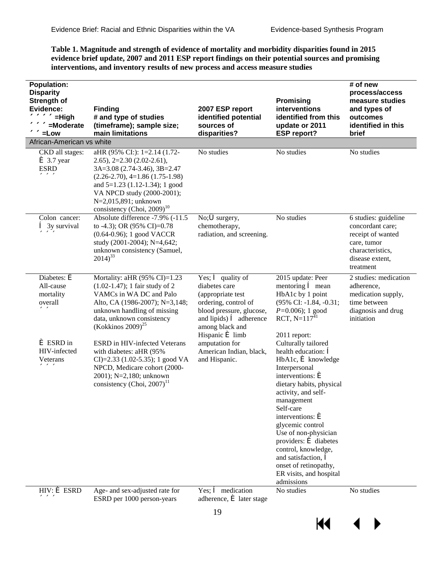<span id="page-21-0"></span>Table 1. Magnitude and strength of evidence of mortality and morbidity disparities found in 2015 evidence brief update, 2007 and 2011 ESP report findings on their potential sources and promising interventions, and inventory results of new process and access measure studies

| <b>Population:</b><br><b>Disparity</b><br>Strength of<br>Evidence:<br>«««««-High<br>«««<=Moderate<br>««ELow | <b>Finding</b><br># and type of studies<br>(timeframe); sample size;<br>main limitations                                                                                                                                                                                   | 2007 ESP report<br>identified potential<br>sources of<br>disparities?                                                                                                                                                             | <b>Promising</b><br>interventions<br>identified from this<br>update or 2011<br><b>ESP report?</b>                                                                                                                                                                                                                                                                                                                                                                                                   | # of new<br>process/access<br>measure studies<br>and types of<br>outcomes<br>identified in this<br>brief                         |
|-------------------------------------------------------------------------------------------------------------|----------------------------------------------------------------------------------------------------------------------------------------------------------------------------------------------------------------------------------------------------------------------------|-----------------------------------------------------------------------------------------------------------------------------------------------------------------------------------------------------------------------------------|-----------------------------------------------------------------------------------------------------------------------------------------------------------------------------------------------------------------------------------------------------------------------------------------------------------------------------------------------------------------------------------------------------------------------------------------------------------------------------------------------------|----------------------------------------------------------------------------------------------------------------------------------|
| African-American vs white                                                                                   |                                                                                                                                                                                                                                                                            |                                                                                                                                                                                                                                   |                                                                                                                                                                                                                                                                                                                                                                                                                                                                                                     |                                                                                                                                  |
| CKD all stages:<br>$\leq 3.7$ year<br><b>ESRD</b><br>$\alpha$                                               | aHR (95% CI:): 1=2.14 (1.72-<br>$2.65$ ), $2=2.30$ (2.02-2.61),<br>3A=3.08 (2.74-3.46), 3B=2.47<br>$(2.26-2.70), 4=1.86$ $(1.75-1.98)$<br>and $5=1.23$ (1.12-1.34); 1 good<br>VA NPCD study (2000-2001);<br>N=2,015,891; unknown<br>consistency (Choi, 2009) <sup>10</sup> | No studies                                                                                                                                                                                                                        | No studies                                                                                                                                                                                                                                                                                                                                                                                                                                                                                          | No studies                                                                                                                       |
| Colon cancer:<br>$\hat{\mathbf{e}}$ 3y survival<br><b>««</b>                                                | Absolute difference -7.9% (-11.5<br>to -4.3); OR (95% CI)=0.78<br>(0.64-0.96); 1 good VACCR<br>study (2001-2004); N=4,642;<br>unknown consistency (Samuel,<br>$2014)^{33}$                                                                                                 | No; Surgery,<br>chemotherapy,<br>radiation, and screening.                                                                                                                                                                        | No studies                                                                                                                                                                                                                                                                                                                                                                                                                                                                                          | 6 studies: guideline<br>concordant care;<br>receipt of wanted<br>care, tumor<br>characteristics,<br>disease extent,<br>treatment |
| Diabetes: $\acute{\mathbf{e}}$<br>All-cause<br>mortality<br>overall<br><b>&lt;&lt;&lt;&lt;</b>              | Mortality: aHR $(95\% \text{ CI})=1.23$<br>$(1.02-1.47);$ 1 fair study of 2<br>VAMCs in WA DC and Palo<br>Alto, CA (1986-2007); N=3,148;<br>unknown handling of missing<br>data, unknown consistency<br>(Kokkinos 2009) <sup>25</sup>                                      | Yes; $\hat{\mathbf{e}}$ quality of<br>diabetes care<br>(appropriate test<br>ordering, control of<br>blood pressure, glucose,<br>and lipids) $\hat{\mathbf{e}}$ adherence<br>among black and<br>Hispanic $\acute{\mathbf{e}}$ limb | 2015 update: Peer<br>mentoring $\hat{\mathbf{e}}$ mean<br>HbA1c by 1 point<br>(95% CI: -1.84, -0.31;<br>$P=0.006$ ; 1 good<br>RCT, $N=117^{41}$<br>2011 report:                                                                                                                                                                                                                                                                                                                                     | 2 studies: medication<br>adherence,<br>medication supply,<br>time between<br>diagnosis and drug<br>initiation                    |
| $\epsilon$ ESRD in<br>HIV-infected<br>Veterans<br><b>««&lt;&lt;&lt;&lt;</b>                                 | <b>ESRD</b> in HIV-infected Veterans<br>with diabetes: aHR (95%)<br>CI $)=2.33(1.02-5.35); 1 good VA$<br>NPCD, Medicare cohort (2000-<br>2001); N=2,180; unknown<br>consistency (Choi, $2007$ ) <sup>11</sup>                                                              | amputation for<br>American Indian, black,<br>and Hispanic.                                                                                                                                                                        | Culturally tailored<br>health education: $\hat{\mathbf{e}}$<br>$HbA1c$ , $\triangleq$ knowledge<br>Interpersonal<br>interventions: $\acute{\mathbf{e}}$<br>dietary habits, physical<br>activity, and self-<br>management<br>Self-care<br>interventions: $\acute{\mathbf{e}}$<br>glycemic control<br>Use of non-physician<br>providers: $\hat{\mathbf{e}}$ diabetes<br>control, knowledge,<br>and satisfaction, $\hat{\mathbf{e}}$<br>onset of retinopathy,<br>ER visits, and hospital<br>admissions |                                                                                                                                  |
| $HIV: \mathbf{\mathbf{\acute{e}\,}}$ ESRD<br><b>««&lt;&lt;&lt;&lt;</b>                                      | Age- and sex-adjusted rate for<br>ESRD per 1000 person-years                                                                                                                                                                                                               | Yes; $\hat{\mathbf{e}}$ medication<br>adherence, $\acute{\mathbf{e}}$ later stage                                                                                                                                                 | No studies                                                                                                                                                                                                                                                                                                                                                                                                                                                                                          | No studies                                                                                                                       |
|                                                                                                             |                                                                                                                                                                                                                                                                            | 1 <sub>0</sub>                                                                                                                                                                                                                    |                                                                                                                                                                                                                                                                                                                                                                                                                                                                                                     |                                                                                                                                  |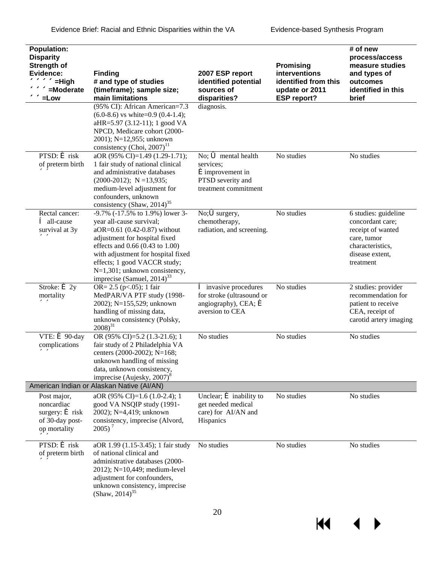| Population:<br><b>Disparity</b><br>Strength of<br>Evidence:<br><b>««««&lt;</b> =High<br>«««<=Moderate<br><b>««</b> ELow | <b>Finding</b><br># and type of studies<br>(timeframe); sample size;<br>main limitations                                                                                                                                                                                                                         | 2007 ESP report<br>identified potential<br>sources of<br>disparities?                                                                         | <b>Promising</b><br>interventions<br>identified from this<br>update or 2011<br><b>ESP report?</b> | # of new<br>process/access<br>measure studies<br>and types of<br>outcomes<br>identified in this<br>brief                         |
|-------------------------------------------------------------------------------------------------------------------------|------------------------------------------------------------------------------------------------------------------------------------------------------------------------------------------------------------------------------------------------------------------------------------------------------------------|-----------------------------------------------------------------------------------------------------------------------------------------------|---------------------------------------------------------------------------------------------------|----------------------------------------------------------------------------------------------------------------------------------|
|                                                                                                                         | (95% CI): African American=7.3<br>$(6.0-8.6)$ vs white=0.9 $(0.4-1.4)$ ;<br>aHR=5.97 (3.12-11); 1 good VA<br>NPCD, Medicare cohort (2000-<br>2001); N=12,955; unknown<br>consistency (Choi, $2007$ ) <sup>11</sup>                                                                                               | diagnosis.                                                                                                                                    |                                                                                                   |                                                                                                                                  |
| $PTSD:$ $\acute{\mathbf{e}}$ risk<br>of preterm birth<br>$\ll$                                                          | aOR (95% CI)=1.49 (1.29-1.71);<br>1 fair study of national clinical<br>and administrative databases<br>$(2000-2012)$ ; N = 13,935;<br>medium-level adjustment for<br>confounders, unknown<br>consistency (Shaw, 2014) <sup>35</sup>                                                                              | No; $\ddot{\bullet}$ mental health<br>services;<br><b>é</b> improvement in<br>PTSD severity and<br>treatment commitment                       | No studies                                                                                        | No studies                                                                                                                       |
| Rectal cancer:<br><b>ê</b> all-cause<br>survival at 3y<br>くくくく                                                          | -9.7% (-17.5% to 1.9%) lower 3-<br>year all-cause survival;<br>aOR=0.61 (0.42-0.87) without<br>adjustment for hospital fixed<br>effects and 0.66 (0.43 to 1.00)<br>with adjustment for hospital fixed<br>effects; 1 good VACCR study;<br>N=1,301; unknown consistency,<br>imprecise (Samuel, 2014) <sup>33</sup> | No; $\mathbf{\tilde{\in}}$ surgery,<br>chemotherapy,<br>radiation, and screening.                                                             | No studies                                                                                        | 6 studies: guideline<br>concordant care;<br>receipt of wanted<br>care, tumor<br>characteristics.<br>disease extent.<br>treatment |
| Stroke: $\boldsymbol{\epsilon}$ 2y<br>mortality<br>くくくく                                                                 | OR= $2.5$ (p<.05); 1 fair<br>MedPAR/VA PTF study (1998-<br>2002); N=155,529; unknown<br>handling of missing data,<br>unknown consistency (Polsky,<br>$2008)^{31}$                                                                                                                                                | <b><math>\hat{e}</math></b> invasive procedures<br>for stroke (ultrasound or<br>angiography), CEA; $\boldsymbol{\epsilon}$<br>aversion to CEA | No studies                                                                                        | 2 studies: provider<br>recommendation for<br>patient to receive<br>CEA, receipt of<br>carotid artery imaging                     |
| VTE: $\boldsymbol{\in}$ 90-day<br>complications<br>ベベ                                                                   | OR (95% CI)=5.2 (1.3-21.6); 1<br>fair study of 2 Philadelphia VA<br>centers (2000-2002); N=168;<br>unknown handling of missing<br>data, unknown consistency,<br>imprecise (Aujesky, 2007) <sup>8</sup>                                                                                                           | No studies                                                                                                                                    | No studies                                                                                        | No studies                                                                                                                       |
|                                                                                                                         | American Indian or Alaskan Native (Al/AN)                                                                                                                                                                                                                                                                        |                                                                                                                                               |                                                                                                   |                                                                                                                                  |
| Post major,<br>noncardiac<br>surgery: $\boldsymbol{\epsilon}$ risk<br>of 30-day post-<br>op mortality<br>くくくく           | aOR (95% CI)=1.6 (1.0-2.4); 1<br>good VA NSQIP study (1991-<br>2002); N=4,419; unknown<br>consistency, imprecise (Alvord,<br>$2005$ <sup>7</sup>                                                                                                                                                                 | Unclear; $\boldsymbol{\acute{\in}}$ inability to<br>get needed medical<br>care) for AI/AN and<br>Hispanics                                    | No studies                                                                                        | No studies                                                                                                                       |
| $PTSD:$ $\acute{\mathbf{e}}$ risk<br>of preterm birth<br>くくくく                                                           | aOR 1.99 (1.15-3.45); 1 fair study<br>of national clinical and<br>administrative databases (2000-<br>2012); N=10,449; medium-level<br>adjustment for confounders,<br>unknown consistency, imprecise<br>(Shaw, 2014) <sup>35</sup>                                                                                | No studies                                                                                                                                    | No studies                                                                                        | No studies                                                                                                                       |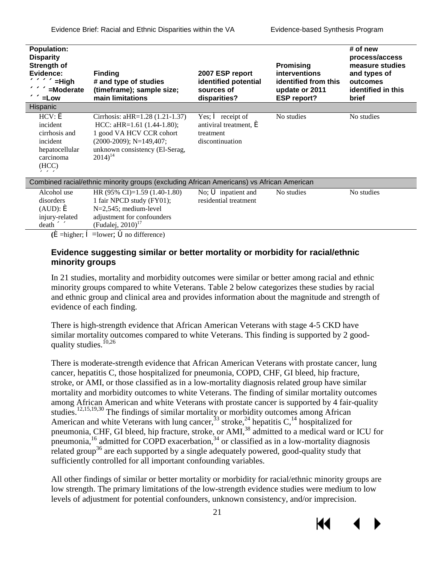| <b>Population:</b><br><b>Disparity</b><br>Strength of<br>Evidence:<br>««««<=High<br>««««=Moderate<br><b>««</b> =Low | <b>Finding</b><br># and type of studies<br>(timeframe); sample size;<br>main limitations                                                                                     | 2007 ESP report<br>identified potential<br>sources of<br>disparities?                                                 | <b>Promising</b><br><b>interventions</b><br>identified from this<br>update or 2011<br><b>ESP report?</b> | # of new<br>process/access<br>measure studies<br>and types of<br>outcomes<br>identified in this<br><b>brief</b> |
|---------------------------------------------------------------------------------------------------------------------|------------------------------------------------------------------------------------------------------------------------------------------------------------------------------|-----------------------------------------------------------------------------------------------------------------------|----------------------------------------------------------------------------------------------------------|-----------------------------------------------------------------------------------------------------------------|
| Hispanic                                                                                                            |                                                                                                                                                                              |                                                                                                                       |                                                                                                          |                                                                                                                 |
| $HCV: \Leftrightarrow$<br>incident<br>cirrhosis and<br>incident<br>hepatocellular<br>carcinoma<br>(HCC)<br>$\alpha$ | Cirrhosis: aHR=1.28 (1.21-1.37)<br>HCC: aHR= $1.61$ (1.44-1.80);<br>1 good VA HCV CCR cohort<br>$(2000-2009)$ ; N=149,407;<br>unknown consistency (El-Serag,<br>$2014)^{14}$ | Yes; $\hat{\mathbf{e}}$ receipt of<br>antiviral treatment, $\boldsymbol{\acute{\in}}$<br>treatment<br>discontinuation | No studies                                                                                               | No studies                                                                                                      |
| Combined racial/ethnic minority groups (excluding African Americans) vs African American                            |                                                                                                                                                                              |                                                                                                                       |                                                                                                          |                                                                                                                 |
| Alcohol use<br>disorders<br>$(AUD): \Leftrightarrow$<br>injury-related<br>death «                                   | HR $(95\% \text{ CI})=1.59 (1.40-1.80)$<br>1 fair NPCD study (FY01);<br>$N=2,545$ ; medium-level<br>adjustment for confounders<br>(Fudalej, $2010$ ) <sup>17</sup>           | No; $\acute{\mathbf{\bullet}}$ inpatient and<br>residential treatment                                                 | No studies                                                                                               | No studies                                                                                                      |

**(**é=higher; ê=lower; óno difference)

#### **Evidence suggesting similar or better mortality or morbidity for racial/ethnic minority groups**

In 21 studies, mortality and morbidity outcomes were similar or better among racial and ethnic minority groups compared to white Veterans. Table 2 below categorizes these studies by racial and ethnic group and clinical area and provides information about the magnitude and strength of evidence of each finding.

There is high-strength evidence that African American Veterans with stage 4-5 CKD have similar mortality outcomes compared to white Veterans. This finding is supported by 2 good-quality studies.<sup>[10,](#page-36-8)[26](#page-37-4)</sup>

There is moderate-strength evidence that African American Veterans with prostate cancer, lung cancer, hepatitis C, those hospitalized for pneumonia, COPD, CHF, GI bleed, hip fracture, stroke, or AMI, or those classified as in a low-mortality diagnosis related group have similar mortality and morbidity outcomes to white Veterans. The finding of similar mortality outcomes among African American and white Veterans with prostate cancer is supported by 4 fair-quality studies.<sup>12,[15,](#page-36-11)[19,](#page-37-15)30</sup> The findings of similar mortality or morbidity outcomes among African American and white Veterans with lung cancer,  $33$  stroke,  $24$  hepatitis C,  $14$  hospitalized for pneumonia, CHF, GI bleed, hip fracture, stroke, or AMI,<sup>38</sup> admitted to a medical ward or ICU for pneumonia,<sup>16</sup> admitted for COPD exacerbation,<sup>[34](#page-37-16)</sup> or classified as in a low-mortality diagnosis related group<sup>36</sup> are each supported by a single adequately powered, good-quality study that sufficiently controlled for all important confounding variables.

All other findings of similar or better mortality or morbidity for racial/ethnic minority groups are low strength. The primary limitations of the low-strength evidence studies were medium to low levels of adjustment for potential confounders, unknown consistency, and/or imprecision.



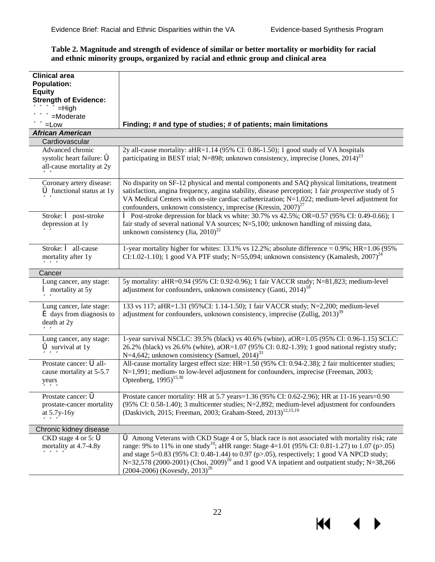#### <span id="page-24-0"></span>Table 2. Magnitude and strength of evidence of similar or better mortality or morbidity for racial and ethnic minority groups, organized by racial and ethnic group and clinical area

| <b>Clinical area</b>                      |                                                                                                                                                                                                       |
|-------------------------------------------|-------------------------------------------------------------------------------------------------------------------------------------------------------------------------------------------------------|
| <b>Population:</b>                        |                                                                                                                                                                                                       |
| <b>Equity</b>                             |                                                                                                                                                                                                       |
| <b>Strength of Evidence:</b>              |                                                                                                                                                                                                       |
| «««««=High                                |                                                                                                                                                                                                       |
| «««=Moderate                              |                                                                                                                                                                                                       |
| ««<=Low                                   | Finding; # and type of studies; # of patients; main limitations                                                                                                                                       |
| <b>African American</b>                   |                                                                                                                                                                                                       |
| Cardiovascular                            |                                                                                                                                                                                                       |
| Advanced chronic                          | 2y all-cause mortality: aHR=1.14 (95% CI: 0.86-1.50); 1 good study of VA hospitals                                                                                                                    |
| systolic heart failure: $\ddot{\bullet}$  | participating in BEST trial; N=898; unknown consistency, imprecise (Jones, $2014$ ) <sup>23</sup>                                                                                                     |
| all-cause mortality at 2y                 |                                                                                                                                                                                                       |
| くくくく                                      |                                                                                                                                                                                                       |
| Coronary artery disease:                  | No disparity on SF-12 physical and mental components and SAQ physical limitations, treatment                                                                                                          |
| $\acute{\bullet}$ functional status at 1y | satisfaction, angina frequency, angina stability, disease perception; 1 fair <i>prospective</i> study of 5                                                                                            |
| くくくく                                      | VA Medical Centers with on-site cardiac catheterization; N=1,022; medium-level adjustment for                                                                                                         |
|                                           | confounders, unknown consistency, imprecise (Kressin, $2007$ ) <sup>27</sup>                                                                                                                          |
| Stroke: $\hat{\bullet}$ post-stroke       | $\hat{ }$ Post-stroke depression for black vs white: 30.7% vs 42.5%; OR=0.57 (95% CI: 0.49-0.66); 1                                                                                                   |
| depression at 1y                          | fair study of several national VA sources; $N=5,100$ ; unknown handling of missing data,                                                                                                              |
| $\ll$                                     | unknown consistency (Jia, 2010) <sup>22</sup>                                                                                                                                                         |
|                                           |                                                                                                                                                                                                       |
| Stroke: ê all-cause                       | 1-year mortality higher for whites: $13.1\%$ vs 12.2%; absolute difference = 0.9%; HR=1.06 (95%)                                                                                                      |
| mortality after 1y                        | CI:1.02-1.10); 1 good VA PTF study; N=55,094; unknown consistency (Kamalesh, $2007$ ) <sup>24</sup>                                                                                                   |
| $\alpha$                                  |                                                                                                                                                                                                       |
| Cancer                                    |                                                                                                                                                                                                       |
| Lung cancer, any stage:                   | 5y mortality: aHR=0.94 (95% CI: 0.92-0.96); 1 fair VACCR study; N=81,823; medium-level                                                                                                                |
| $\hat{\mathbf{e}}$ mortality at 5y        | adjustment for confounders, unknown consistency (Ganti, 2014) <sup>18</sup>                                                                                                                           |
| <b>&lt;&lt;&lt;&lt;</b>                   |                                                                                                                                                                                                       |
| Lung cancer, late stage:                  | 133 vs 117; aHR=1.31 (95%CI: 1.14-1.50); 1 fair VACCR study; N=2,200; medium-level                                                                                                                    |
| $\triangle$ days from diagnosis to        | adjustment for confounders, unknown consistency, imprecise $(Zullig, 2013)^{39}$                                                                                                                      |
| death at 2y                               |                                                                                                                                                                                                       |
| くくくく                                      |                                                                                                                                                                                                       |
| Lung cancer, any stage:                   | 1-year survival NSCLC: 39.5% (black) vs 40.6% (white), aOR=1.05 (95% CI: 0.96-1.15) SCLC:                                                                                                             |
| $\bullet$ survival at 1y                  | 26.2% (black) vs 26.6% (white), aOR=1.07 (95% CI: 0.82-1.39); 1 good national registry study;                                                                                                         |
| $\alpha$                                  | N=4,642; unknown consistency (Samuel, $2014$ ) <sup>33</sup>                                                                                                                                          |
| Prostate cancer: 6all-                    | All-cause mortality largest effect size: HR=1.50 (95% CI: 0.94-2.38); 2 fair multicenter studies;                                                                                                     |
| cause mortality at 5-5.7                  | $N=1,991$ ; medium- to low-level adjustment for confounders, imprecise (Freeman, 2003;                                                                                                                |
| years                                     | Optenberg, $1995$ <sup>15,30</sup>                                                                                                                                                                    |
| <b>««&lt;&lt;&lt;&lt;</b>                 |                                                                                                                                                                                                       |
| Prostate cancer: $\ddot{\bullet}$         | Prostate cancer mortality: HR at 5.7 years=1.36 (95% CI: 0.62-2.96); HR at 11-16 years=0.90                                                                                                           |
| prostate-cancer mortality                 | (95% CI: 0.58-1.40); 3 multicenter studies; $N=2,892$ ; medium-level adjustment for confounders                                                                                                       |
| at 5.7y-16y                               | (Daskivich, 2015; Freeman, 2003; Graham-Steed, 2013) <sup>12,15,19</sup>                                                                                                                              |
| $\alpha$                                  |                                                                                                                                                                                                       |
| Chronic kidney disease                    |                                                                                                                                                                                                       |
| CKD stage 4 or 5: $\ddot{\bullet}$        | Among Veterans with CKD Stage 4 or 5, black race is not associated with mortality risk; rate                                                                                                          |
| mortality at 4.7-4.8y                     | range: 9% to 11% in one study <sup>10</sup> ; aHR range: Stage 4=1.01 (95% CI: 0.81-1.27) to 1.07 (p>.05)                                                                                             |
| $\alpha$                                  | and stage $5=0.83$ (95% CI: 0.48-1.44) to 0.97 (p>.05), respectively; 1 good VA NPCD study;<br>N=32,578 (2000-2001) (Choi, 2009) <sup>10</sup> and 1 good VA inpatient and outpatient study; N=38,266 |
|                                           | $(2004-2006)$ (Kovesdy, 2013) <sup>26</sup>                                                                                                                                                           |
|                                           |                                                                                                                                                                                                       |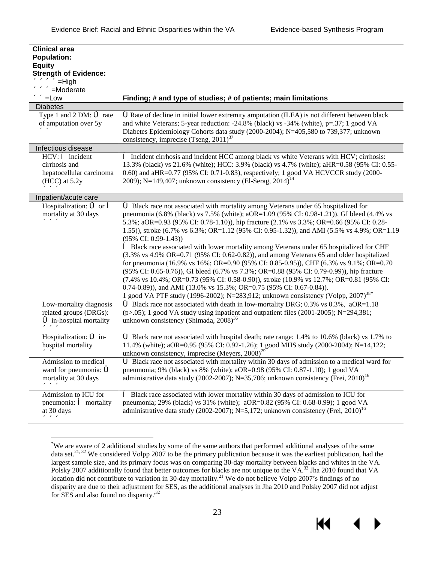К

| <b>Clinical area</b>                                            |                                                                                                                                                                       |
|-----------------------------------------------------------------|-----------------------------------------------------------------------------------------------------------------------------------------------------------------------|
| <b>Population:</b>                                              |                                                                                                                                                                       |
| <b>Equity</b>                                                   |                                                                                                                                                                       |
| <b>Strength of Evidence:</b>                                    |                                                                                                                                                                       |
| ««««<<=High                                                     |                                                                                                                                                                       |
| «««<=Moderate                                                   |                                                                                                                                                                       |
| ««ELow                                                          | Finding; # and type of studies; # of patients; main limitations                                                                                                       |
| <b>Diabetes</b>                                                 |                                                                                                                                                                       |
| Type 1 and 2 DM: $\bullet$ rate                                 | <b>S</b> Rate of decline in initial lower extremity amputation (ILEA) is not different between black                                                                  |
| of amputation over 5y                                           | and white Veterans; 5-year reduction: -24.8% (black) vs -34% (white), $p=37$ ; 1 good VA                                                                              |
| $\ll$                                                           | Diabetes Epidemiology Cohorts data study (2000-2004); N=405,580 to 739,377; unknown                                                                                   |
|                                                                 | consistency, imprecise (Tseng, $2011$ ) <sup>37</sup>                                                                                                                 |
| Infectious disease                                              |                                                                                                                                                                       |
| $HCV:$ $\hat{\bullet}$ incident                                 | <b>A</b> Incident cirrhosis and incident HCC among black vs white Veterans with HCV; cirrhosis:                                                                       |
| cirrhosis and                                                   | 13.3% (black) vs 21.6% (white); HCC: 3.9% (black) vs 4.7% (white); aHR=0.58 (95% CI: 0.55-                                                                            |
| hepatocellular carcinoma                                        | 0.60) and aHR=0.77 (95% CI: 0.71-0.83), respectively; 1 good VA HCVCCR study (2000-                                                                                   |
| $HCC$ ) at 5.2y                                                 | 2009); N=149,407; unknown consistency (El-Serag, 2014) <sup>14</sup>                                                                                                  |
| $\alpha$                                                        |                                                                                                                                                                       |
| Inpatient/acute care                                            |                                                                                                                                                                       |
| Hospitalization: $\acute{\mathbf{\circ}}$ or $\hat{\mathbf{e}}$ | 6 Black race not associated with mortality among Veterans under 65 hospitalized for                                                                                   |
| mortality at 30 days                                            | pneumonia (6.8% (black) vs 7.5% (white); aOR=1.09 (95% CI: 0.98-1.21)), GI bleed (4.4% vs                                                                             |
| $\alpha$                                                        | 5.3%; aOR=0.93 (95% CI: 0.78-1.10)), hip fracture (2.1% vs 3.3%; OR=0.66 (95% CI: 0.28-                                                                               |
|                                                                 | 1.55)), stroke (6.7% vs 6.3%; OR=1.12 (95% CI: 0.95-1.32)), and AMI (5.5% vs 4.9%; OR=1.19                                                                            |
|                                                                 | $(95\% \text{ CI: } 0.99-1.43)$                                                                                                                                       |
|                                                                 | <b>A</b> Black race associated with lower mortality among Veterans under 65 hospitalized for CHF                                                                      |
|                                                                 | $(3.3\% \text{ vs } 4.9\% \text{ OR} = 0.71 \text{ (95\% CI: } 0.62 - 0.82)$ , and among Veterans 65 and older hospitalized                                           |
|                                                                 | for pneumonia (16.9% vs 16%; OR=0.90 (95% CI: 0.85-0.95)), CHF (6.3% vs 9.1%; OR=0.70                                                                                 |
|                                                                 | (95% CI: 0.65-0.76)), GI bleed (6.7% vs 7.3%; OR=0.88 (95% CI: 0.79-0.99)), hip fracture                                                                              |
|                                                                 | $(7.4\% \text{ vs } 10.4\%; \text{OR} = 0.73 \ (95\% \text{ CI}: 0.58-0.90)),$ stroke $(10.9\% \text{ vs } 12.7\%; \text{OR} = 0.81 \ (95\% \text{ CI}: 0.58-0.90)).$ |
|                                                                 | 0.74-0.89)), and AMI (13.0% vs 15.3%; OR=0.75 (95% CI: 0.67-0.84)).                                                                                                   |
|                                                                 | 1 good VA PTF study (1996-2002); N=283,912; unknown consistency (Volpp, 2007) <sup>38*</sup>                                                                          |
| Low-mortality diagnosis                                         | 6 Black race not associated with death in low-mortality DRG; 0.3% vs 0.3%, aOR=1.18                                                                                   |
| related groups (DRGs):                                          | $(p>0.05)$ ; 1 good VA study using inpatient and outpatient files (2001-2005); N=294,381;                                                                             |
| $\ddot{\bullet}$ in-hospital mortality                          | unknown consistency (Shimada, $2008$ ) <sup>36</sup>                                                                                                                  |
| $\alpha$                                                        |                                                                                                                                                                       |
| Hospitalization: 6 in-                                          | 6 Black race not associated with hospital death; rate range: 1.4% to 10.6% (black) vs 1.7% to                                                                         |
| hospital mortality                                              | 11.4% (white); aOR=0.95 (95% CI: 0.92-1.26); 1 good MHS study (2000-2004); N=14,122;                                                                                  |
| ベベ                                                              | unknown consistency, imprecise (Meyers, $2008)^{29}$                                                                                                                  |
| Admission to medical                                            | Black race not associated with mortality within 30 days of admission to a medical ward for                                                                            |
| ward for pneumonia: $\ddot{\bullet}$                            | pneumonia; 9% (black) vs 8% (white); aOR=0.98 (95% CI: 0.87-1.10); 1 good VA                                                                                          |
| mortality at 30 days                                            | administrative data study (2002-2007); N=35,706; unknown consistency (Frei, 2010) <sup>16</sup>                                                                       |
| $\alpha$                                                        |                                                                                                                                                                       |
| Admission to ICU for                                            | <b>A</b> Black race associated with lower mortality within 30 days of admission to ICU for                                                                            |
| pneumonia: $\hat{\mathbf{e}}$ mortality                         | pneumonia; 29% (black) vs 31% (white); aOR=0.82 (95% CI: 0.68-0.99); 1 good VA                                                                                        |
| at 30 days                                                      | administrative data study (2002-2007); N=5,172; unknown consistency (Frei, 2010) <sup>16</sup>                                                                        |
| $\alpha$                                                        |                                                                                                                                                                       |

<span id="page-25-0"></span><sup>&</sup>lt;sup>\*</sup>We are aware of 2 additional studies by some of the same authors that performed additional analyses of the same data set.<sup>21, 32</sup> We considered Volpp 2007 to be the primary publication because it was the earliest publi largest sample size, and its primary focus was on comparing 30-day mortality between blacks and whites in the VA.<br>Polsky 2007 additionally found that better outcomes for blacks are not unique to the VA.<sup>32</sup> Jha 2010 found disparity are due to their adjustment for SES, as the additional analyses in Jha 2010 and Polsky 2007 did not adjust for SES and also found no disparity.<sup>32</sup>

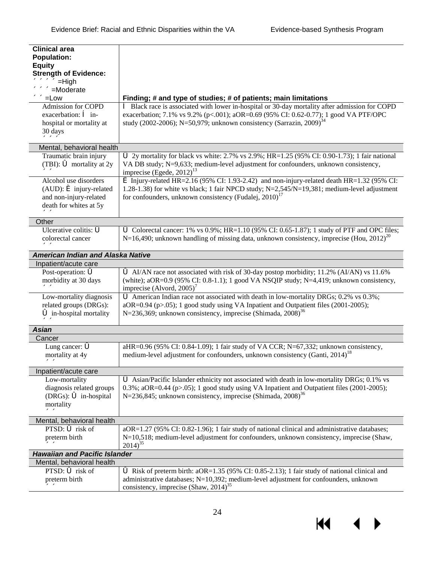| <b>Clinical area</b>                                             |                                                                                                                                          |
|------------------------------------------------------------------|------------------------------------------------------------------------------------------------------------------------------------------|
| <b>Population:</b>                                               |                                                                                                                                          |
| <b>Equity</b>                                                    |                                                                                                                                          |
| <b>Strength of Evidence:</b>                                     |                                                                                                                                          |
| ««««<<=High                                                      |                                                                                                                                          |
| «««=Moderate                                                     |                                                                                                                                          |
| ««ELow                                                           | Finding; # and type of studies; # of patients; main limitations                                                                          |
| <b>Admission for COPD</b>                                        | <sup>6</sup> Black race is associated with lower in-hospital or 30-day mortality after admission for COPD                                |
| exacerbation: $\hat{e}$ in-                                      | exacerbation; 7.1% vs 9.2% (p<.001); aOR=0.69 (95% CI: 0.62-0.77); 1 good VA PTF/OPC                                                     |
| hospital or mortality at                                         | study (2002-2006); N=50,979; unknown consistency (Sarrazin, 2009) <sup>34</sup>                                                          |
| 30 days                                                          |                                                                                                                                          |
| $\alpha$                                                         |                                                                                                                                          |
| Mental, behavioral health                                        |                                                                                                                                          |
| Traumatic brain injury                                           | 6 2y mortality for black vs white: $2.7\%$ vs $2.9\%$ ; HR=1.25 (95% CI: 0.90-1.73); 1 fair national                                     |
| (TBI): $\bullet$ mortality at 2y                                 | VA DB study; N=9,633; medium-level adjustment for confounders, unknown consistency,                                                      |
| くくくく                                                             | imprecise (Egede, $2012$ ) <sup>13</sup>                                                                                                 |
| Alcohol use disorders                                            | $\triangle$ Injury-related HR=2.16 (95% CI: 1.93-2.42) and non-injury-related death HR=1.32 (95% CI:                                     |
| $(AUD)$ : $\acute{\mathbf{\bullet}}$ injury-related              | 1.28-1.38) for white vs black; 1 fair NPCD study; $N=2,545/N=19,381$ ; medium-level adjustment                                           |
| and non-injury-related                                           | for confounders, unknown consistency (Fudalej, 2010) <sup>17</sup>                                                                       |
| death for whites at 5y                                           |                                                                                                                                          |
| くくくく                                                             |                                                                                                                                          |
| Other<br>Ulcerative colitis: $\ddot{\bullet}$                    | $\bullet$ Colorectal cancer: 1% vs 0.9%; HR=1.10 (95% CI: 0.65-1.87); 1 study of PTF and OPC files;                                      |
| colorectal cancer                                                |                                                                                                                                          |
|                                                                  | $N=16,490$ ; unknown handling of missing data, unknown consistency, imprecise (Hou, 2012) <sup>20</sup>                                  |
| くくくく                                                             |                                                                                                                                          |
| <b>American Indian and Alaska Native</b>                         |                                                                                                                                          |
| Inpatient/acute care                                             |                                                                                                                                          |
| Post-operation: $\acute{\bullet}$                                | AI/AN race not associated with risk of 30-day postop morbidity; 11.2% (AI/AN) vs 11.6%                                                   |
| morbidity at 30 days                                             | (white); aOR=0.9 (95% CI: 0.8-1.1); 1 good VA NSQIP study; $N=4,419$ ; unknown consistency,                                              |
| くくくく                                                             | imprecise (Alvord, $2005$ ) <sup>7</sup><br><b>6</b> American Indian race not associated with death in low-mortality DRGs; 0.2% vs 0.3%; |
| Low-mortality diagnosis                                          | aOR=0.94 (p>.05); 1 good study using VA Inpatient and Outpatient files (2001-2005);                                                      |
| related groups (DRGs):<br>$\ddot{\bullet}$ in-hospital mortality |                                                                                                                                          |
|                                                                  | N=236,369; unknown consistency, imprecise (Shimada, $2008$ ) <sup>36</sup>                                                               |
| くくくく<br><b>Asian</b>                                             |                                                                                                                                          |
| Cancer                                                           |                                                                                                                                          |
| Lung cancer: $\tilde{\bullet}$                                   | aHR=0.96 (95% CI: 0.84-1.09); 1 fair study of VA CCR; N=67,332; unknown consistency,                                                     |
|                                                                  | medium-level adjustment for confounders, unknown consistency (Ganti, 2014) <sup>18</sup>                                                 |
| mortality at 4y                                                  |                                                                                                                                          |
| <b>&lt;&lt;&lt;&lt;</b><br>Inpatient/acute care                  |                                                                                                                                          |
| Low-mortality                                                    | Asian/Pacific Islander ethnicity not associated with death in low-mortality DRGs; 0.1% vs                                                |
| diagnosis related groups                                         | $0.3\%$ ; aOR=0.44 (p>.05); 1 good study using VA Inpatient and Outpatient files (2001-2005);                                            |
| (DRGs): $\bullet$ in-hospital                                    | N=236,845; unknown consistency, imprecise (Shimada, $2008$ ) <sup>36</sup>                                                               |
| mortality                                                        |                                                                                                                                          |
| くくくく                                                             |                                                                                                                                          |
| Mental, behavioral health                                        |                                                                                                                                          |
| PTSD: $\bullet$ risk of                                          | aOR=1.27 (95% CI: 0.82-1.96); 1 fair study of national clinical and administrative databases;                                            |
| preterm birth                                                    | $N=10,518$ ; medium-level adjustment for confounders, unknown consistency, imprecise (Shaw,                                              |
| くくくく                                                             | $2014)^{35}$                                                                                                                             |
| <b>Hawaiian and Pacific Islander</b>                             |                                                                                                                                          |
| Mental, behavioral health                                        |                                                                                                                                          |
| PTSD: $\bullet$ risk of                                          | $\bullet$ Risk of preterm birth: aOR=1.35 (95% CI: 0.85-2.13); 1 fair study of national clinical and                                     |
| preterm birth                                                    | administrative databases; N=10,392; medium-level adjustment for confounders, unknown                                                     |
| くくくく                                                             | consistency, imprecise (Shaw, $2014$ ) <sup>35</sup>                                                                                     |
|                                                                  |                                                                                                                                          |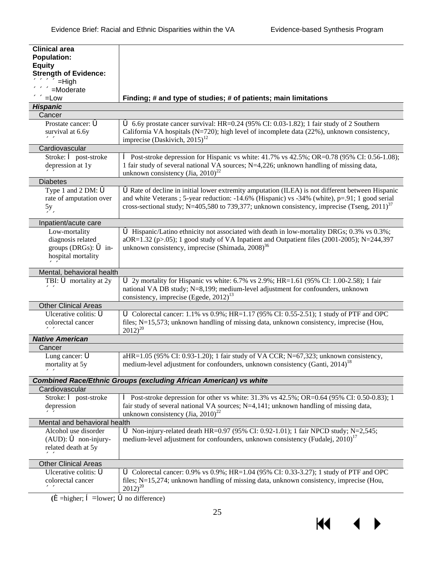| <b>Clinical area</b>                 |                                                                                                                                           |
|--------------------------------------|-------------------------------------------------------------------------------------------------------------------------------------------|
| <b>Population:</b>                   |                                                                                                                                           |
| <b>Equity</b>                        |                                                                                                                                           |
| <b>Strength of Evidence:</b>         |                                                                                                                                           |
| ««««<<=High                          |                                                                                                                                           |
| «««<<=Moderate                       |                                                                                                                                           |
| ««<=Low                              | Finding; # and type of studies; # of patients; main limitations                                                                           |
| <b>Hispanic</b><br>Cancer            |                                                                                                                                           |
| Prostate cancer: $\vec{\bullet}$     | 6.6y prostate cancer survival: HR=0.24 (95% CI: 0.03-1.82); 1 fair study of 2 Southern                                                    |
| survival at 6.6y                     | California VA hospitals (N=720); high level of incomplete data (22%), unknown consistency,                                                |
| くくくく                                 | imprecise (Daskivich, $2015$ ) <sup>12</sup>                                                                                              |
| Cardiovascular                       |                                                                                                                                           |
| Stroke: $\hat{\bullet}$ post-stroke  | $\hat{ }$ Post-stroke depression for Hispanic vs white: 41.7% vs 42.5%; OR=0.78 (95% CI: 0.56-1.08);                                      |
| depression at 1y                     | 1 fair study of several national VA sources; N=4,226; unknown handling of missing data,                                                   |
| くくくく                                 | unknown consistency (Jia, 2010) <sup>22</sup>                                                                                             |
| <b>Diabetes</b>                      |                                                                                                                                           |
| Type 1 and 2 DM: $\acute{\bullet}$   | <b>S</b> Rate of decline in initial lower extremity amputation (ILEA) is not different between Hispanic                                   |
| rate of amputation over              | and white Veterans ; 5-year reduction: -14.6% (Hispanic) vs -34% (white), p=.91; 1 good serial                                            |
| 5y                                   | cross-sectional study; N=405,580 to 739,377; unknown consistency, imprecise (Tseng, $2011$ ) <sup>37</sup>                                |
| くくくく                                 |                                                                                                                                           |
| Inpatient/acute care                 |                                                                                                                                           |
| Low-mortality                        | <b>6</b> Hispanic/Latino ethnicity not associated with death in low-mortality DRGs; 0.3% vs 0.3%;                                         |
| diagnosis related                    | $aOR=1.32$ (p>.05); 1 good study of VA Inpatient and Outpatient files (2001-2005); N=244,397                                              |
| groups (DRGs): $\bullet$ in-         | unknown consistency, imprecise (Shimada, $2008$ ) <sup>36</sup>                                                                           |
| hospital mortality<br>$\ll$          |                                                                                                                                           |
| Mental, behavioral health            |                                                                                                                                           |
| TBI: $\bullet$ mortality at 2y       | $\bullet$ 2y mortality for Hispanic vs white: 6.7% vs 2.9%; HR=1.61 (95% CI: 1.00-2.58); 1 fair                                           |
| くくくく                                 | national VA DB study; N=8,199; medium-level adjustment for confounders, unknown                                                           |
|                                      | consistency, imprecise (Egede, $2012$ ) <sup>13</sup>                                                                                     |
| <b>Other Clinical Areas</b>          |                                                                                                                                           |
| Ulcerative colitis: $\ddot{\bullet}$ | G Colorectal cancer: 1.1% vs $0.9\%$ ; HR=1.17 (95% CI: 0.55-2.51); 1 study of PTF and OPC                                                |
| colorectal cancer                    | files; N=15,573; unknown handling of missing data, unknown consistency, imprecise (Hou,                                                   |
| <<<<                                 | $2012)^{20}$                                                                                                                              |
| <b>Native American</b>               |                                                                                                                                           |
| Cancer                               |                                                                                                                                           |
| Lung cancer: $\tilde{\bullet}$       | aHR=1.05 (95% CI: 0.93-1.20); 1 fair study of VA CCR; N=67,323; unknown consistency,                                                      |
| mortality at 5y                      | medium-level adjustment for confounders, unknown consistency (Ganti, 2014) <sup>18</sup>                                                  |
| <b>&lt;&lt;&lt;&lt;</b>              |                                                                                                                                           |
|                                      | <b>Combined Race/Ethnic Groups (excluding African American) vs white</b>                                                                  |
| Cardiovascular                       |                                                                                                                                           |
| Stroke: $\hat{e}$ post-stroke        | $\hat{ }$ Post-stroke depression for other vs white: 31.3% vs 42.5%; OR=0.64 (95% CI: 0.50-0.83); 1                                       |
| depression<br>९९९९                   | fair study of several national VA sources; $N=4,141$ ; unknown handling of missing data,<br>unknown consistency (Jia, 2010) <sup>22</sup> |
| Mental and behavioral health         |                                                                                                                                           |
| Alcohol use disorder                 | 6 Non-injury-related death HR=0.97 (95% CI: 0.92-1.01); 1 fair NPCD study; N=2,545;                                                       |
| $(AUD)$ : $\bullet$ non-injury-      | medium-level adjustment for confounders, unknown consistency (Fudalej, 2010) <sup>17</sup>                                                |
| related death at 5y                  |                                                                                                                                           |
| くくくく                                 |                                                                                                                                           |
| <b>Other Clinical Areas</b>          |                                                                                                                                           |
| Ulcerative colitis: $\ddot{\bullet}$ | G Colorectal cancer: 0.9% vs 0.9%; HR=1.04 (95% CI: 0.33-3.27); 1 study of PTF and OPC                                                    |
| colorectal cancer                    | files; N=15,274; unknown handling of missing data, unknown consistency, imprecise (Hou,                                                   |
| <b>&lt;&lt;&lt;&lt;</b>              | $2012)^{20}$                                                                                                                              |

 $(\hat{\mathbf{e}}$ =higher;  $\hat{\mathbf{e}}$ =lower;  $\hat{\mathbf{o}}$ no difference)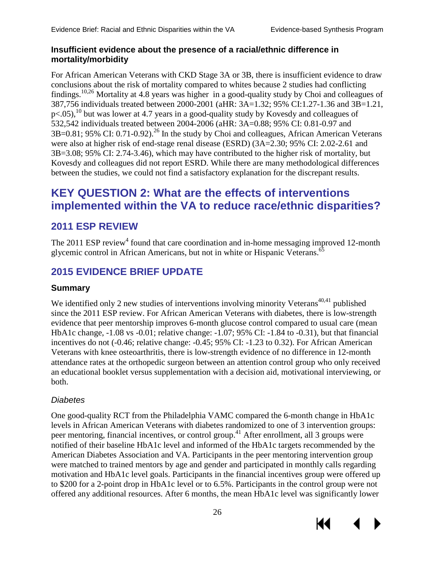К

#### **Insufficient evidence about the presence of a racial/ethnic difference in mortality/morbidity**

For African American Veterans with CKD Stage 3A or 3B, there is insufficient evidence to draw conclusions about the risk of mortality compared to whites because 2 studies had conflicting findings[.10,](#page-36-8)[26](#page-37-4) Mortality at 4.8 years was higher in a good-quality study by Choi and colleagues of 387,756 individuals treated between 2000-2001 (aHR: 3A=1.32; 95% CI:1.27-1.36 and 3B=1.21,  $p<.05$ ,<sup>10</sup> but was lower at 4.7 years in a good-quality study by Kovesdy and colleagues of 532,542 individuals treated between 2004-2006 (aHR: 3A=0.88; 95% CI: 0.81-0.97 and  $3B=0.81$ ; 95% CI: 0.71-0.92).<sup>26</sup> In the study by Choi and colleagues, African American Veterans were also at higher risk of end-stage renal disease (ESRD) (3A=2.30; 95% CI: 2.02-2.61 and 3B=3.08; 95% CI: 2.74-3.46), which may have contributed to the higher risk of mortality, but Kovesdy and colleagues did not report ESRD. While there are many methodological differences between the studies, we could not find a satisfactory explanation for the discrepant results.

# <span id="page-28-0"></span>**KEY QUESTION 2: What are the effects of interventions implemented within the VA to reduce race/ethnic disparities?**

# <span id="page-28-1"></span>**2011 ESP REVIEW**

The 2011 ESP review<sup>4</sup> found that care coordination and in-home messaging improved 12-month glycemic control in African Americans, but not in white or Hispanic Veterans.<sup>[65](#page-39-9)</sup>

# <span id="page-28-2"></span>**2015 EVIDENCE BRIEF UPDATE**

### **Summary**

We identified only 2 new studies of interventions involving minority Veterans<sup>[40](#page-38-0),41</sup> published since the 2011 ESP review. For African American Veterans with diabetes, there is low-strength evidence that peer mentorship improves 6-month glucose control compared to usual care (mean HbA1c change, -1.08 vs -0.01; relative change: -1.07; 95% CI: -1.84 to -0.31), but that financial incentives do not (-0.46; relative change: -0.45; 95% CI: -1.23 to 0.32). For African American Veterans with knee osteoarthritis, there is low-strength evidence of no difference in 12-month attendance rates at the orthopedic surgeon between an attention control group who only received an educational booklet versus supplementation with a decision aid, motivational interviewing, or both.

### *Diabetes*

One good-quality RCT from the Philadelphia VAMC compared the 6-month change in HbA1c levels in African American Veterans with diabetes randomized to one of 3 intervention groups: peer mentoring, financial incentives, or control group[.41](#page-38-1) After enrollment, all 3 groups were notified of their baseline HbA1c level and informed of the HbA1c targets recommended by the American Diabetes Association and VA. Participants in the peer mentoring intervention group were matched to trained mentors by age and gender and participated in monthly calls regarding motivation and HbA1c level goals. Participants in the financial incentives group were offered up to \$200 for a 2-point drop in HbA1c level or to 6.5%. Participants in the control group were not offered any additional resources. After 6 months, the mean HbA1c level was significantly lower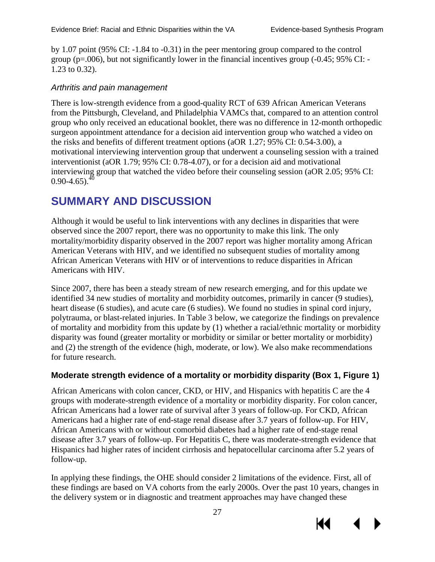by 1.07 point (95% CI: -1.84 to -0.31) in the peer mentoring group compared to the control group ( $p=0.006$ ), but not significantly lower in the financial incentives group ( $-0.45$ ; 95% CI:  $-$ 1.23 to 0.32).

#### *Arthritis and pain management*

There is low-strength evidence from a good-quality RCT of 639 African American Veterans from the Pittsburgh, Cleveland, and Philadelphia VAMCs that, compared to an attention control group who only received an educational booklet, there was no difference in 12-month orthopedic surgeon appointment attendance for a decision aid intervention group who watched a video on the risks and benefits of different treatment options (aOR 1.27; 95% CI: 0.54-3.00), a motivational interviewing intervention group that underwent a counseling session with a trained interventionist (aOR 1.79; 95% CI: 0.78-4.07), or for a decision aid and motivational interviewing group that watched the video before their counseling session (aOR 2.05; 95% CI:  $0.90 - 4.65$ .  $^{40}$ 

# <span id="page-29-0"></span>**SUMMARY AND DISCUSSION**

Although it would be useful to link interventions with any declines in disparities that were observed since the 2007 report, there was no opportunity to make this link. The only mortality/morbidity disparity observed in the 2007 report was higher mortality among African American Veterans with HIV, and we identified no subsequent studies of mortality among African American Veterans with HIV or of interventions to reduce disparities in African Americans with HIV.

Since 2007, there has been a steady stream of new research emerging, and for this update we identified 34 new studies of mortality and morbidity outcomes, primarily in cancer (9 studies), heart disease (6 studies), and acute care (6 studies). We found no studies in spinal cord injury, polytrauma, or blast-related injuries. In Table 3 below, we categorize the findings on prevalence of mortality and morbidity from this update by (1) whether a racial/ethnic mortality or morbidity disparity was found (greater mortality or morbidity or similar or better mortality or morbidity) and (2) the strength of the evidence (high, moderate, or low). We also make recommendations for future research.

### **Moderate strength evidence of a mortality or morbidity disparity (Box 1, Figure 1)**

African Americans with colon cancer, CKD, or HIV, and Hispanics with hepatitis C are the 4 groups with moderate-strength evidence of a mortality or morbidity disparity. For colon cancer, African Americans had a lower rate of survival after 3 years of follow-up. For CKD, African Americans had a higher rate of end-stage renal disease after 3.7 years of follow-up. For HIV, African Americans with or without comorbid diabetes had a higher rate of end-stage renal disease after 3.7 years of follow-up. For Hepatitis C, there was moderate-strength evidence that Hispanics had higher rates of incident cirrhosis and hepatocellular carcinoma after 5.2 years of follow-up.

In applying these findings, the OHE should consider 2 limitations of the evidence. First, all of these findings are based on VA cohorts from the early 2000s. Over the past 10 years, changes in the delivery system or in diagnostic and treatment approaches may have changed these

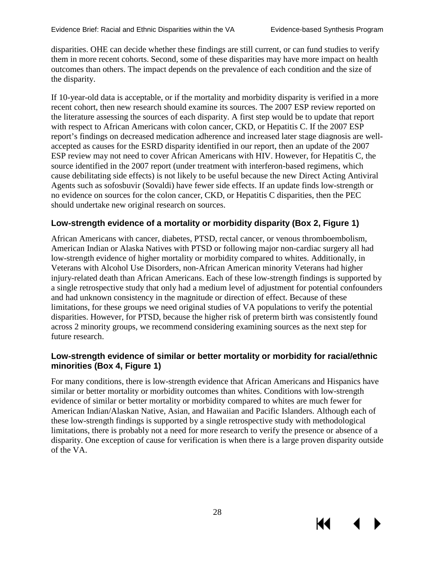KI

disparities. OHE can decide whether these findings are still current, or can fund studies to verify them in more recent cohorts. Second, some of these disparities may have more impact on health outcomes than others. The impact depends on the prevalence of each condition and the size of the disparity.

If 10-year-old data is acceptable, or if the mortality and morbidity disparity is verified in a more recent cohort, then new research should examine its sources. The 2007 ESP review reported on the literature assessing the sources of each disparity. A first step would be to update that report with respect to African Americans with colon cancer, CKD, or Hepatitis C. If the 2007 ESP report's findings on decreased medication adherence and increased later stage diagnosis are wellaccepted as causes for the ESRD disparity identified in our report, then an update of the 2007 ESP review may not need to cover African Americans with HIV. However, for Hepatitis C, the source identified in the 2007 report (under treatment with interferon-based regimens, which cause debilitating side effects) is not likely to be useful because the new Direct Acting Antiviral Agents such as sofosbuvir (Sovaldi) have fewer side effects. If an update finds low-strength or no evidence on sources for the colon cancer, CKD, or Hepatitis C disparities, then the PEC should undertake new original research on sources.

### **Low-strength evidence of a mortality or morbidity disparity (Box 2, Figure 1)**

African Americans with cancer, diabetes, PTSD, rectal cancer, or venous thromboembolism, American Indian or Alaska Natives with PTSD or following major non-cardiac surgery all had low-strength evidence of higher mortality or morbidity compared to whites. Additionally, in Veterans with Alcohol Use Disorders, non-African American minority Veterans had higher injury-related death than African Americans. Each of these low-strength findings is supported by a single retrospective study that only had a medium level of adjustment for potential confounders and had unknown consistency in the magnitude or direction of effect. Because of these limitations, for these groups we need original studies of VA populations to verify the potential disparities. However, for PTSD, because the higher risk of preterm birth was consistently found across 2 minority groups, we recommend considering examining sources as the next step for future research.

#### **Low-strength evidence of similar or better mortality or morbidity for racial/ethnic minorities (Box 4, Figure 1)**

For many conditions, there is low-strength evidence that African Americans and Hispanics have similar or better mortality or morbidity outcomes than whites. Conditions with low-strength evidence of similar or better mortality or morbidity compared to whites are much fewer for American Indian/Alaskan Native, Asian, and Hawaiian and Pacific Islanders. Although each of these low-strength findings is supported by a single retrospective study with methodological limitations, there is probably not a need for more research to verify the presence or absence of a disparity. One exception of cause for verification is when there is a large proven disparity outside of the VA.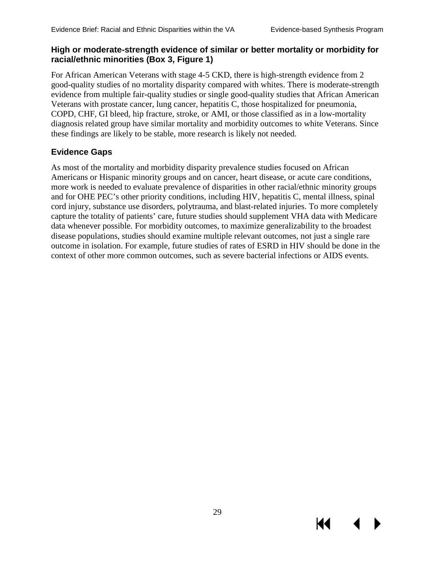KI

#### **High or moderate-strength evidence of similar or better mortality or morbidity for racial/ethnic minorities (Box 3, Figure 1)**

For African American Veterans with stage 4-5 CKD, there is high-strength evidence from 2 good-quality studies of no mortality disparity compared with whites. There is moderate-strength evidence from multiple fair-quality studies or single good-quality studies that African American Veterans with prostate cancer, lung cancer, hepatitis C, those hospitalized for pneumonia, COPD, CHF, GI bleed, hip fracture, stroke, or AMI, or those classified as in a low-mortality diagnosis related group have similar mortality and morbidity outcomes to white Veterans. Since these findings are likely to be stable, more research is likely not needed.

#### **Evidence Gaps**

As most of the mortality and morbidity disparity prevalence studies focused on African Americans or Hispanic minority groups and on cancer, heart disease, or acute care conditions, more work is needed to evaluate prevalence of disparities in other racial/ethnic minority groups and for OHE PEC's other priority conditions, including HIV, hepatitis C, mental illness, spinal cord injury, substance use disorders, polytrauma, and blast-related injuries. To more completely capture the totality of patients' care, future studies should supplement VHA data with Medicare data whenever possible. For morbidity outcomes, to maximize generalizability to the broadest disease populations, studies should examine multiple relevant outcomes, not just a single rare outcome in isolation. For example, future studies of rates of ESRD in HIV should be done in the context of other more common outcomes, such as severe bacterial infections or AIDS events.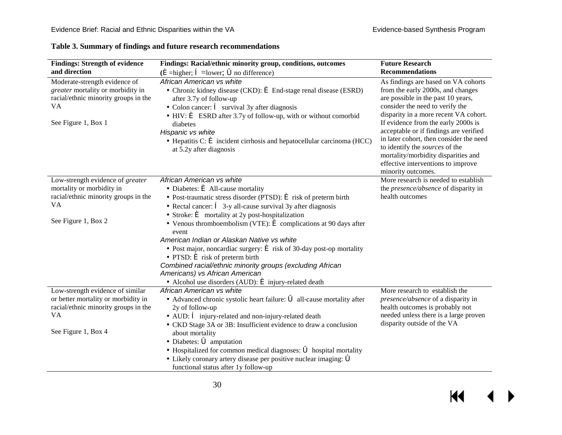<span id="page-32-0"></span>

| <b>Findings: Strength of evidence</b><br>and direction                                                                                       | Findings: Racial/ethnic minority group, conditions, outcomes<br>$(\hat{\mathbf{e}})$ =higher; $\hat{\mathbf{e}}$ =lower; $\hat{\mathbf{o}}$ no difference)                                                                                                                                                                                                                                                                                                                                                                                                                                                                                                                                                                                                                                    | <b>Future Research</b><br><b>Recommendations</b>                                                                                                                                                                                                                                                                                                                                                                                                            |
|----------------------------------------------------------------------------------------------------------------------------------------------|-----------------------------------------------------------------------------------------------------------------------------------------------------------------------------------------------------------------------------------------------------------------------------------------------------------------------------------------------------------------------------------------------------------------------------------------------------------------------------------------------------------------------------------------------------------------------------------------------------------------------------------------------------------------------------------------------------------------------------------------------------------------------------------------------|-------------------------------------------------------------------------------------------------------------------------------------------------------------------------------------------------------------------------------------------------------------------------------------------------------------------------------------------------------------------------------------------------------------------------------------------------------------|
| Moderate-strength evidence of<br>greater mortality or morbidity in<br>racial/ethnic minority groups in the<br>VA<br>See Figure 1, Box 1      | African American vs white<br>• Chronic kidney disease (CKD): $\acute{\mathbf{e}}$ End-stage renal disease (ESRD)<br>after 3.7y of follow-up<br>• Colon cancer: $\hat{\mathbf{e}}$ survival 3y after diagnosis<br>$\cdot$ HIV: $\epsilon$ ESRD after 3.7y of follow-up, with or without comorbid<br>diabetes<br>Hispanic vs white<br>$\cdot$ Hepatitis C: $\acute{\mathbf{e}}$ incident cirrhosis and hepatocellular carcinoma (HCC)<br>at 5.2y after diagnosis                                                                                                                                                                                                                                                                                                                                | As findings are based on VA cohorts<br>from the early 2000s, and changes<br>are possible in the past 10 years,<br>consider the need to verify the<br>disparity in a more recent VA cohort.<br>If evidence from the early 2000s is<br>acceptable or if findings are verified<br>in later cohort, then consider the need<br>to identify the sources of the<br>mortality/morbidity disparities and<br>effective interventions to improve<br>minority outcomes. |
| Low-strength evidence of greater<br>mortality or morbidity in<br>racial/ethnic minority groups in the<br>VA<br>See Figure 1, Box 2           | African American vs white<br>• Diabetes: $\triangleq$ All-cause mortality<br>· Post-traumatic stress disorder (PTSD): $\acute{\mathbf{e}}$ risk of preterm birth<br>• Rectal cancer: $\hat{\mathbf{e}}$ 3-y all-cause survival 3y after diagnosis<br>Stroke: $\bullet$ mortality at 2y post-hospitalization<br>• Venous thromboembolism (VTE): $\acute{\mathbf{e}}$ complications at 90 days after<br>event<br>American Indian or Alaskan Native vs white<br>• Post major, noncardiac surgery: $\acute{\mathbf{\in}}$ risk of 30-day post-op mortality<br>$\cdot$ PTSD: $\acute{\mathbf{e}}$ risk of preterm birth<br>Combined racial/ethnic minority groups (excluding African<br>Americans) vs African American<br>· Alcohol use disorders (AUD): $\acute{\mathbf{e}}$ injury-related death | More research is needed to establish<br>the <i>presence/absence</i> of disparity in<br>health outcomes                                                                                                                                                                                                                                                                                                                                                      |
| Low-strength evidence of similar<br>or better mortality or morbidity in<br>racial/ethnic minority groups in the<br>VA<br>See Figure 1, Box 4 | African American vs white<br>· Advanced chronic systolic heart failure: 6 all-cause mortality after<br>2y of follow-up<br>• AUD: $\hat{e}$ injury-related and non-injury-related death<br>• CKD Stage 3A or 3B: Insufficient evidence to draw a conclusion<br>about mortality<br>$\cdot$ Diabetes: $\bullet$ amputation<br>$\cdot$ Hospitalized for common medical diagnoses: $\bullet$ hospital mortality<br>$\cdot$ Likely coronary artery disease per positive nuclear imaging: $\delta$<br>functional status after 1y follow-up                                                                                                                                                                                                                                                           | More research to establish the<br>presence/absence of a disparity in<br>health outcomes is probably not<br>needed unless there is a large proven<br>disparity outside of the VA                                                                                                                                                                                                                                                                             |

#### **Table 3. Summary of findings and future research recommendations**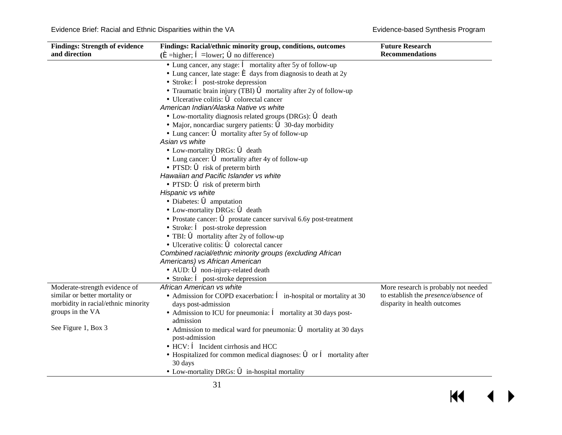$\blacksquare$ 

 $\blacktriangleright$ 

| <b>Findings: Strength of evidence</b> | Findings: Racial/ethnic minority group, conditions, outcomes                                             | <b>Future Research</b>                      |
|---------------------------------------|----------------------------------------------------------------------------------------------------------|---------------------------------------------|
| and direction                         | $(\hat{\mathbf{e}})$ =higher; $\hat{\mathbf{e}}$ =lower; $\hat{\mathbf{o}}$ no difference)               | <b>Recommendations</b>                      |
|                                       | $\cdot$ Lung cancer, any stage: $\hat{e}$ mortality after 5y of follow-up                                |                                             |
|                                       | $\cdot$ Lung cancer, late stage: $\triangleq$ days from diagnosis to death at 2y                         |                                             |
|                                       | $\cdot$ Stroke: $\hat{e}$ post-stroke depression                                                         |                                             |
|                                       | Traumatic brain injury (TBI) $\blacklozenge$ mortality after 2y of follow-up                             |                                             |
|                                       | $\cdot$ Ulcerative colitis: $\bullet$ colorectal cancer                                                  |                                             |
|                                       | American Indian/Alaska Native vs white                                                                   |                                             |
|                                       | • Low-mortality diagnosis related groups (DRGs): 6 death                                                 |                                             |
|                                       | • Major, noncardiac surgery patients: $\bullet$ 30-day morbidity                                         |                                             |
|                                       | • Lung cancer: $\vec{\bullet}$ mortality after 5y of follow-up                                           |                                             |
|                                       | Asian vs white                                                                                           |                                             |
|                                       | • Low-mortality DRGs: $\vec{\bullet}$ death                                                              |                                             |
|                                       | • Lung cancer: $\vec{\bullet}$ mortality after 4y of follow-up                                           |                                             |
|                                       | $\cdot$ PTSD: $\bullet$ risk of preterm birth                                                            |                                             |
|                                       | Hawaiian and Pacific Islander vs white                                                                   |                                             |
|                                       | • PTSD: $\vec{\bullet}$ risk of preterm birth                                                            |                                             |
|                                       | Hispanic vs white                                                                                        |                                             |
|                                       | $\cdot$ Diabetes: $\bullet$ amputation                                                                   |                                             |
|                                       | • Low-mortality DRGs: $\bullet$ death                                                                    |                                             |
|                                       | $\cdot$ Prostate cancer: $\bullet$ prostate cancer survival 6.6y post-treatment                          |                                             |
|                                       | $\cdot$ Stroke: $\hat{\mathbf{e}}$ post-stroke depression                                                |                                             |
|                                       | $\cdot$ TBI: $\bullet$ mortality after 2y of follow-up                                                   |                                             |
|                                       | $\cdot$ Ulcerative colitis: $\bullet$ colorectal cancer                                                  |                                             |
|                                       | Combined racial/ethnic minority groups (excluding African                                                |                                             |
|                                       | Americans) vs African American                                                                           |                                             |
|                                       | $\cdot$ AUD: $\bullet$ non-injury-related death                                                          |                                             |
|                                       | $\cdot$ Stroke: $\hat{e}$ post-stroke depression                                                         |                                             |
| Moderate-strength evidence of         | African American vs white                                                                                | More research is probably not needed        |
| similar or better mortality or        | • Admission for COPD exacerbation: $\hat{\mathbf{e}}$ in-hospital or mortality at 30                     | to establish the <i>presence/absence</i> of |
| morbidity in racial/ethnic minority   | days post-admission                                                                                      | disparity in health outcomes                |
| groups in the VA                      | • Admission to ICU for pneumonia: $\hat{e}$ mortality at 30 days post-                                   |                                             |
|                                       | admission                                                                                                |                                             |
| See Figure 1, Box 3                   | • Admission to medical ward for pneumonia: $\bullet$ mortality at 30 days                                |                                             |
|                                       | post-admission                                                                                           |                                             |
|                                       | $\cdot$ HCV: $\hat{\mathbf{e}}$ Incident cirrhosis and HCC                                               |                                             |
|                                       | $\cdot$ Hospitalized for common medical diagnoses: $\vec{\bullet}$ or $\hat{\mathbf{e}}$ mortality after |                                             |
|                                       | 30 days                                                                                                  |                                             |
|                                       | • Low-mortality DRGs: $\vec{\bullet}$ in-hospital mortality                                              |                                             |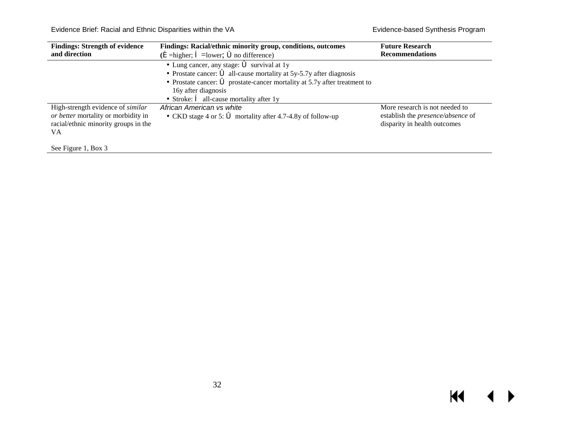Evidence Brief: Racial and Ethnic Disparities within the VA Evidence-based Synthesis Program

| <b>Findings: Strength of evidence</b><br>and direction                                                                        | Findings: Racial/ethnic minority group, conditions, outcomes<br>$(\hat{\mathbf{e}})$ =higher; $\hat{\mathbf{e}}$ =lower; $\hat{\mathbf{o}}$ no difference)                                                                                                                                                                            | <b>Future Research</b><br><b>Recommendations</b>                                                    |
|-------------------------------------------------------------------------------------------------------------------------------|---------------------------------------------------------------------------------------------------------------------------------------------------------------------------------------------------------------------------------------------------------------------------------------------------------------------------------------|-----------------------------------------------------------------------------------------------------|
|                                                                                                                               | • Lung cancer, any stage: $\vec{\bullet}$ survival at 1y<br>• Prostate cancer: $\vec{\bullet}$ all-cause mortality at 5y-5.7y after diagnosis<br>• Prostate cancer: $\acute{\mathbf{\circ}}$ prostate-cancer mortality at 5.7y after treatment to<br>16y after diagnosis<br>• Stroke: $\hat{\mathbf{e}}$ all-cause mortality after 1y |                                                                                                     |
| High-strength evidence of <i>similar</i><br>or better mortality or morbidity in<br>racial/ethnic minority groups in the<br>VA | African American vs white<br>• CKD stage 4 or 5: $\bullet$ mortality after 4.7-4.8y of follow-up                                                                                                                                                                                                                                      | More research is not needed to<br>establish the presence/absence of<br>disparity in health outcomes |
| See Figure 1, Box 3                                                                                                           |                                                                                                                                                                                                                                                                                                                                       |                                                                                                     |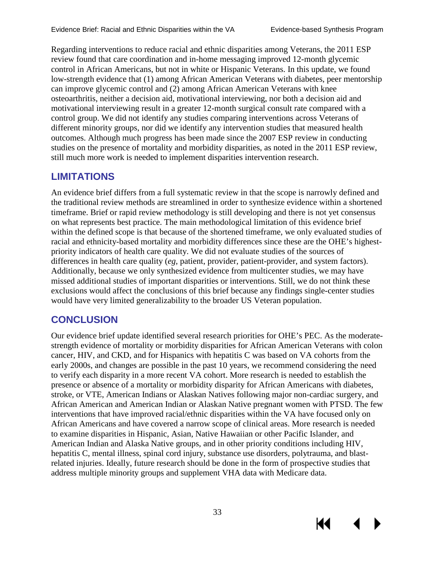К

Regarding interventions to reduce racial and ethnic disparities among Veterans, the 2011 ESP review found that care coordination and in-home messaging improved 12-month glycemic control in African Americans, but not in white or Hispanic Veterans. In this update, we found low-strength evidence that (1) among African American Veterans with diabetes, peer mentorship can improve glycemic control and (2) among African American Veterans with knee osteoarthritis, neither a decision aid, motivational interviewing, nor both a decision aid and motivational interviewing result in a greater 12-month surgical consult rate compared with a control group. We did not identify any studies comparing interventions across Veterans of different minority groups, nor did we identify any intervention studies that measured health outcomes. Although much progress has been made since the 2007 ESP review in conducting studies on the presence of mortality and morbidity disparities, as noted in the 2011 ESP review, still much more work is needed to implement disparities intervention research.

# <span id="page-35-0"></span>**LIMITATIONS**

An evidence brief differs from a full systematic review in that the scope is narrowly defined and the traditional review methods are streamlined in order to synthesize evidence within a shortened timeframe. Brief or rapid review methodology is still developing and there is not yet consensus on what represents best practice. The main methodological limitation of this evidence brief within the defined scope is that because of the shortened timeframe, we only evaluated studies of racial and ethnicity-based mortality and morbidity differences since these are the OHE's highestpriority indicators of health care quality. We did not evaluate studies of the sources of differences in health care quality (*eg*, patient, provider, patient-provider, and system factors). Additionally, because we only synthesized evidence from multicenter studies, we may have missed additional studies of important disparities or interventions. Still, we do not think these exclusions would affect the conclusions of this brief because any findings single-center studies would have very limited generalizability to the broader US Veteran population.

# <span id="page-35-1"></span>**CONCLUSION**

Our evidence brief update identified several research priorities for OHE's PEC. As the moderatestrength evidence of mortality or morbidity disparities for African American Veterans with colon cancer, HIV, and CKD, and for Hispanics with hepatitis C was based on VA cohorts from the early 2000s, and changes are possible in the past 10 years, we recommend considering the need to verify each disparity in a more recent VA cohort. More research is needed to establish the presence or absence of a mortality or morbidity disparity for African Americans with diabetes, stroke, or VTE, American Indians or Alaskan Natives following major non-cardiac surgery, and African American and American Indian or Alaskan Native pregnant women with PTSD. The few interventions that have improved racial/ethnic disparities within the VA have focused only on African Americans and have covered a narrow scope of clinical areas. More research is needed to examine disparities in Hispanic, Asian, Native Hawaiian or other Pacific Islander, and American Indian and Alaska Native groups, and in other priority conditions including HIV, hepatitis C, mental illness, spinal cord injury, substance use disorders, polytrauma, and blastrelated injuries. Ideally, future research should be done in the form of prospective studies that address multiple minority groups and supplement VHA data with Medicare data.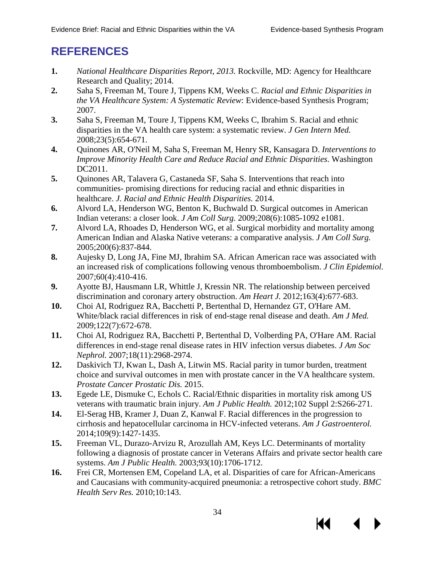К∢

# <span id="page-36-0"></span>**REFERENCES**

- <span id="page-36-1"></span>**1.** *National Healthcare Disparities Report, 2013.* Rockville, MD: Agency for Healthcare Research and Quality; 2014.
- <span id="page-36-2"></span>**2.** Saha S, Freeman M, Toure J, Tippens KM, Weeks C. *Racial and Ethnic Disparities in the VA Healthcare System: A Systematic Review*: Evidence-based Synthesis Program; 2007.
- <span id="page-36-3"></span>**3.** Saha S, Freeman M, Toure J, Tippens KM, Weeks C, Ibrahim S. Racial and ethnic disparities in the VA health care system: a systematic review. *J Gen Intern Med.*  2008;23(5):654-671.
- <span id="page-36-4"></span>**4.** Quinones AR, O'Neil M, Saha S, Freeman M, Henry SR, Kansagara D. *Interventions to Improve Minority Health Care and Reduce Racial and Ethnic Disparities*. Washington DC2011.
- **5.** Quinones AR, Talavera G, Castaneda SF, Saha S. Interventions that reach into communities- promising directions for reducing racial and ethnic disparities in healthcare. *J. Racial and Ethnic Health Disparities.* 2014.
- <span id="page-36-5"></span>**6.** Alvord LA, Henderson WG, Benton K, Buchwald D. Surgical outcomes in American Indian veterans: a closer look. *J Am Coll Surg.* 2009;208(6):1085-1092 e1081.
- <span id="page-36-6"></span>**7.** Alvord LA, Rhoades D, Henderson WG, et al. Surgical morbidity and mortality among American Indian and Alaska Native veterans: a comparative analysis. *J Am Coll Surg.*  2005;200(6):837-844.
- <span id="page-36-7"></span>**8.** Aujesky D, Long JA, Fine MJ, Ibrahim SA. African American race was associated with an increased risk of complications following venous thromboembolism. *J Clin Epidemiol.*  2007;60(4):410-416.
- <span id="page-36-10"></span>**9.** Ayotte BJ, Hausmann LR, Whittle J, Kressin NR. The relationship between perceived discrimination and coronary artery obstruction. *Am Heart J.* 2012;163(4):677-683.
- <span id="page-36-8"></span>**10.** Choi AI, Rodriguez RA, Bacchetti P, Bertenthal D, Hernandez GT, O'Hare AM. White/black racial differences in risk of end-stage renal disease and death. *Am J Med.*  2009;122(7):672-678.
- <span id="page-36-9"></span>**11.** Choi AI, Rodriguez RA, Bacchetti P, Bertenthal D, Volberding PA, O'Hare AM. Racial differences in end-stage renal disease rates in HIV infection versus diabetes. *J Am Soc Nephrol.* 2007;18(11):2968-2974.
- <span id="page-36-13"></span>**12.** Daskivich TJ, Kwan L, Dash A, Litwin MS. Racial parity in tumor burden, treatment choice and survival outcomes in men with prostate cancer in the VA healthcare system. *Prostate Cancer Prostatic Dis.* 2015.
- <span id="page-36-15"></span>**13.** Egede LE, Dismuke C, Echols C. Racial/Ethnic disparities in mortality risk among US veterans with traumatic brain injury. *Am J Public Health.* 2012;102 Suppl 2:S266-271.
- <span id="page-36-14"></span>**14.** El-Serag HB, Kramer J, Duan Z, Kanwal F. Racial differences in the progression to cirrhosis and hepatocellular carcinoma in HCV-infected veterans. *Am J Gastroenterol.*  2014;109(9):1427-1435.
- <span id="page-36-11"></span>**15.** Freeman VL, Durazo-Arvizu R, Arozullah AM, Keys LC. Determinants of mortality following a diagnosis of prostate cancer in Veterans Affairs and private sector health care systems. *Am J Public Health.* 2003;93(10):1706-1712.
- <span id="page-36-12"></span>**16.** Frei CR, Mortensen EM, Copeland LA, et al. Disparities of care for African-Americans and Caucasians with community-acquired pneumonia: a retrospective cohort study. *BMC Health Serv Res.* 2010;10:143.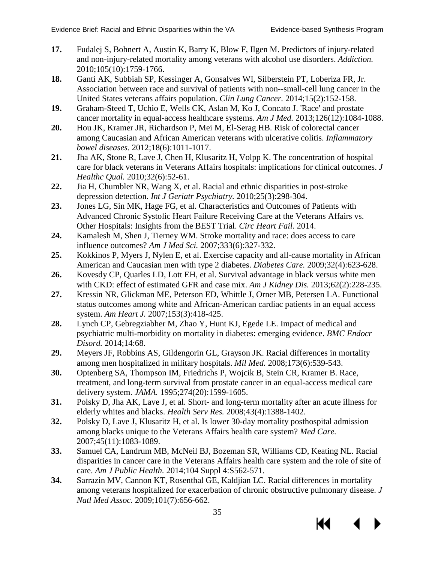К

- <span id="page-37-14"></span>**17.** Fudalej S, Bohnert A, Austin K, Barry K, Blow F, Ilgen M. Predictors of injury-related and non-injury-related mortality among veterans with alcohol use disorders. *Addiction.*  2010;105(10):1759-1766.
- <span id="page-37-7"></span>**18.** Ganti AK, Subbiah SP, Kessinger A, Gonsalves WI, Silberstein PT, Loberiza FR, Jr. Association between race and survival of patients with non--small-cell lung cancer in the United States veterans affairs population. *Clin Lung Cancer.* 2014;15(2):152-158.
- <span id="page-37-15"></span>**19.** Graham-Steed T, Uchio E, Wells CK, Aslan M, Ko J, Concato J. 'Race' and prostate cancer mortality in equal-access healthcare systems. *Am J Med.* 2013;126(12):1084-1088.
- <span id="page-37-17"></span>**20.** Hou JK, Kramer JR, Richardson P, Mei M, El-Serag HB. Risk of colorectal cancer among Caucasian and African American veterans with ulcerative colitis. *Inflammatory bowel diseases.* 2012;18(6):1011-1017.
- <span id="page-37-12"></span>**21.** Jha AK, Stone R, Lave J, Chen H, Klusaritz H, Volpp K. The concentration of hospital care for black veterans in Veterans Affairs hospitals: implications for clinical outcomes. *J Healthc Qual.* 2010;32(6):52-61.
- <span id="page-37-1"></span>**22.** Jia H, Chumbler NR, Wang X, et al. Racial and ethnic disparities in post-stroke depression detection. *Int J Geriatr Psychiatry.* 2010;25(3):298-304.
- <span id="page-37-9"></span>**23.** Jones LG, Sin MK, Hage FG, et al. Characteristics and Outcomes of Patients with Advanced Chronic Systolic Heart Failure Receiving Care at the Veterans Affairs vs. Other Hospitals: Insights from the BEST Trial. *Circ Heart Fail.* 2014.
- <span id="page-37-10"></span>**24.** Kamalesh M, Shen J, Tierney WM. Stroke mortality and race: does access to care influence outcomes? *Am J Med Sci.* 2007;333(6):327-332.
- <span id="page-37-11"></span>**25.** Kokkinos P, Myers J, Nylen E, et al. Exercise capacity and all-cause mortality in African American and Caucasian men with type 2 diabetes. *Diabetes Care.* 2009;32(4):623-628.
- <span id="page-37-4"></span>**26.** Kovesdy CP, Quarles LD, Lott EH, et al. Survival advantage in black versus white men with CKD: effect of estimated GFR and case mix. *Am J Kidney Dis.* 2013;62(2):228-235.
- <span id="page-37-0"></span>**27.** Kressin NR, Glickman ME, Peterson ED, Whittle J, Orner MB, Petersen LA. Functional status outcomes among white and African-American cardiac patients in an equal access system. *Am Heart J.* 2007;153(3):418-425.
- <span id="page-37-5"></span>**28.** Lynch CP, Gebregziabher M, Zhao Y, Hunt KJ, Egede LE. Impact of medical and psychiatric multi-morbidity on mortality in diabetes: emerging evidence. *BMC Endocr Disord.* 2014;14:68.
- <span id="page-37-2"></span>**29.** Meyers JF, Robbins AS, Gildengorin GL, Grayson JK. Racial differences in mortality among men hospitalized in military hospitals. *Mil Med.* 2008;173(6):539-543.
- <span id="page-37-8"></span>**30.** Optenberg SA, Thompson IM, Friedrichs P, Wojcik B, Stein CR, Kramer B. Race, treatment, and long-term survival from prostate cancer in an equal-access medical care delivery system. *JAMA.* 1995;274(20):1599-1605.
- <span id="page-37-6"></span>**31.** Polsky D, Jha AK, Lave J, et al. Short- and long-term mortality after an acute illness for elderly whites and blacks. *Health Serv Res.* 2008;43(4):1388-1402.
- <span id="page-37-13"></span>**32.** Polsky D, Lave J, Klusaritz H, et al. Is lower 30-day mortality posthospital admission among blacks unique to the Veterans Affairs health care system? *Med Care.*  2007;45(11):1083-1089.
- <span id="page-37-3"></span>**33.** Samuel CA, Landrum MB, McNeil BJ, Bozeman SR, Williams CD, Keating NL. Racial disparities in cancer care in the Veterans Affairs health care system and the role of site of care. *Am J Public Health.* 2014;104 Suppl 4:S562-571.
- <span id="page-37-16"></span>**34.** Sarrazin MV, Cannon KT, Rosenthal GE, Kaldjian LC. Racial differences in mortality among veterans hospitalized for exacerbation of chronic obstructive pulmonary disease. *J Natl Med Assoc.* 2009;101(7):656-662.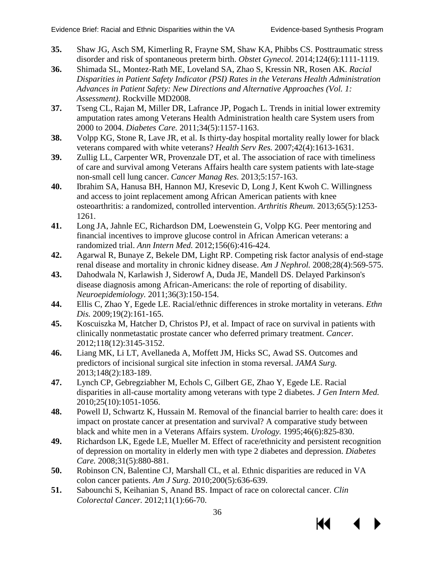KI

- <span id="page-38-8"></span>**35.** Shaw JG, Asch SM, Kimerling R, Frayne SM, Shaw KA, Phibbs CS. Posttraumatic stress disorder and risk of spontaneous preterm birth. *Obstet Gynecol.* 2014;124(6):1111-1119.
- <span id="page-38-6"></span>**36.** Shimada SL, Montez-Rath ME, Loveland SA, Zhao S, Kressin NR, Rosen AK. *Racial Disparities in Patient Safety Indicator (PSI) Rates in the Veterans Health Administration Advances in Patient Safety: New Directions and Alternative Approaches (Vol. 1: Assessment)*. Rockville MD2008.
- <span id="page-38-3"></span>**37.** Tseng CL, Rajan M, Miller DR, Lafrance JP, Pogach L. Trends in initial lower extremity amputation rates among Veterans Health Administration health care System users from 2000 to 2004. *Diabetes Care.* 2011;34(5):1157-1163.
- <span id="page-38-7"></span>**38.** Volpp KG, Stone R, Lave JR, et al. Is thirty-day hospital mortality really lower for black veterans compared with white veterans? *Health Serv Res.* 2007;42(4):1613-1631.
- <span id="page-38-4"></span>**39.** Zullig LL, Carpenter WR, Provenzale DT, et al. The association of race with timeliness of care and survival among Veterans Affairs health care system patients with late-stage non-small cell lung cancer. *Cancer Manag Res.* 2013;5:157-163.
- <span id="page-38-0"></span>**40.** Ibrahim SA, Hanusa BH, Hannon MJ, Kresevic D, Long J, Kent Kwoh C. Willingness and access to joint replacement among African American patients with knee osteoarthritis: a randomized, controlled intervention. *Arthritis Rheum.* 2013;65(5):1253- 1261.
- <span id="page-38-1"></span>**41.** Long JA, Jahnle EC, Richardson DM, Loewenstein G, Volpp KG. Peer mentoring and financial incentives to improve glucose control in African American veterans: a randomized trial. *Ann Intern Med.* 2012;156(6):416-424.
- <span id="page-38-2"></span>**42.** Agarwal R, Bunaye Z, Bekele DM, Light RP. Competing risk factor analysis of end-stage renal disease and mortality in chronic kidney disease. *Am J Nephrol.* 2008;28(4):569-575.
- **43.** Dahodwala N, Karlawish J, Siderowf A, Duda JE, Mandell DS. Delayed Parkinson's disease diagnosis among African-Americans: the role of reporting of disability. *Neuroepidemiology.* 2011;36(3):150-154.
- **44.** Ellis C, Zhao Y, Egede LE. Racial/ethnic differences in stroke mortality in veterans. *Ethn Dis.* 2009;19(2):161-165.
- <span id="page-38-5"></span>**45.** Koscuiszka M, Hatcher D, Christos PJ, et al. Impact of race on survival in patients with clinically nonmetastatic prostate cancer who deferred primary treatment. *Cancer.*  2012;118(12):3145-3152.
- **46.** Liang MK, Li LT, Avellaneda A, Moffett JM, Hicks SC, Awad SS. Outcomes and predictors of incisional surgical site infection in stoma reversal. *JAMA Surg.*  2013;148(2):183-189.
- **47.** Lynch CP, Gebregziabher M, Echols C, Gilbert GE, Zhao Y, Egede LE. Racial disparities in all-cause mortality among veterans with type 2 diabetes. *J Gen Intern Med.*  2010;25(10):1051-1056.
- **48.** Powell IJ, Schwartz K, Hussain M. Removal of the financial barrier to health care: does it impact on prostate cancer at presentation and survival? A comparative study between black and white men in a Veterans Affairs system. *Urology.* 1995;46(6):825-830.
- **49.** Richardson LK, Egede LE, Mueller M. Effect of race/ethnicity and persistent recognition of depression on mortality in elderly men with type 2 diabetes and depression. *Diabetes Care.* 2008;31(5):880-881.
- **50.** Robinson CN, Balentine CJ, Marshall CL, et al. Ethnic disparities are reduced in VA colon cancer patients. *Am J Surg.* 2010;200(5):636-639.
- <span id="page-38-9"></span>**51.** Sabounchi S, Keihanian S, Anand BS. Impact of race on colorectal cancer. *Clin Colorectal Cancer.* 2012;11(1):66-70.